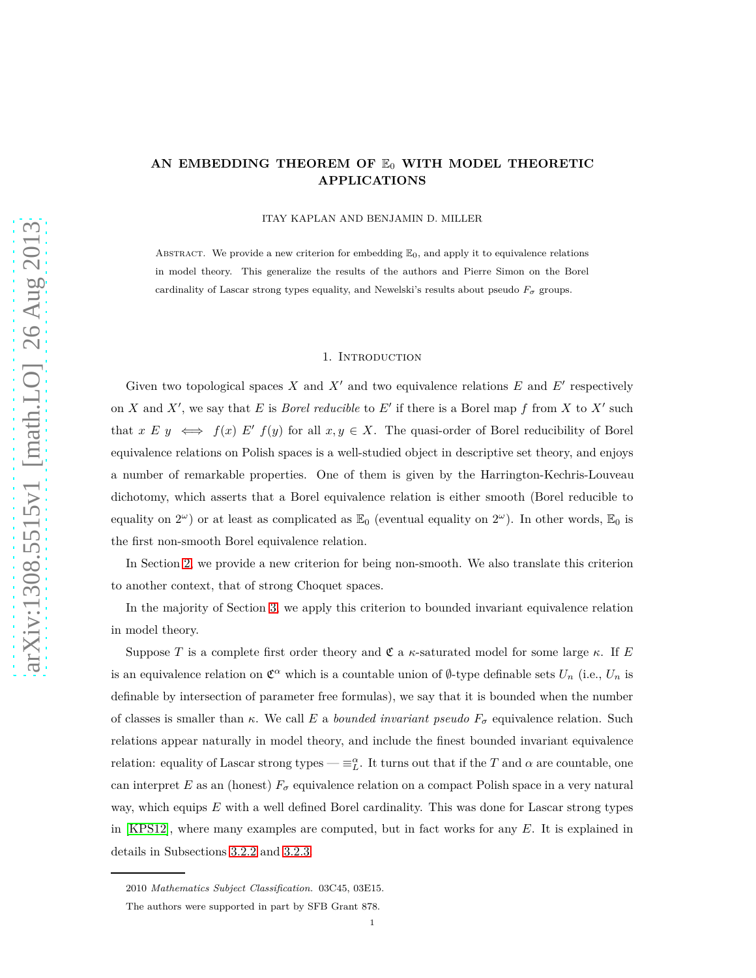# AN EMBEDDING THEOREM OF  $E_0$  WITH MODEL THEORETIC **APPLICATIONS**

ITAY KAPLAN AND BENJAMIN D. MILLER

ABSTRACT. We provide a new criterion for embedding  $\mathbb{E}_0$ , and apply it to equivalence relations in model theory. This generalize the results of the authors and Pierre Simon on the Borel cardinality of Lascar strong types equality, and Newelski's results about pseudo  $F_{\sigma}$  groups.

#### 1. Introduction

Given two topological spaces  $X$  and  $X'$  and two equivalence relations  $E$  and  $E'$  respectively on *X* and *X'*, we say that *E* is *Borel reducible* to *E'* if there is a Borel map *f* from *X* to *X'* such that  $x E y \iff f(x) E' f(y)$  for all  $x, y \in X$ . The quasi-order of Borel reducibility of Borel equivalence relations on Polish spaces is a well-studied object in descriptive set theory, and enjoys a number of remarkable properties. One of them is given by the Harrington-Kechris-Louveau dichotomy, which asserts that a Borel equivalence relation is either smooth (Borel reducible to equality on  $2^{\omega}$ ) or at least as complicated as  $\mathbb{E}_0$  (eventual equality on  $2^{\omega}$ ). In other words,  $\mathbb{E}_0$  is the first non-smooth Borel equivalence relation.

In Section [2,](#page-2-0) we provide a new criterion for being non-smooth. We also translate this criterion to another context, that of strong Choquet spaces.

In the majority of Section [3,](#page-7-0) we apply this criterion to bounded invariant equivalence relation in model theory.

Suppose *T* is a complete first order theory and  $\mathfrak{C}$  a *κ*-saturated model for some large  $\kappa$ . If *E* is an equivalence relation on  $\mathfrak{C}^{\alpha}$  which is a countable union of Ø-type definable sets  $U_n$  (i.e.,  $U_n$  is definable by intersection of parameter free formulas), we say that it is bounded when the number of classes is smaller than *κ*. We call *E* a *bounded invariant pseudo F<sup>σ</sup>* equivalence relation. Such relations appear naturally in model theory, and include the finest bounded invariant equivalence relation: equality of Lascar strong types —  $\equiv_L^{\alpha}$ . It turns out that if the *T* and  $\alpha$  are countable, one can interpret *E* as an (honest)  $F_{\sigma}$  equivalence relation on a compact Polish space in a very natural way, which equips *E* with a well defined Borel cardinality. This was done for Lascar strong types in [\[KPS12\]](#page-19-0), where many examples are computed, but in fact works for any *E*. It is explained in details in Subsections [3.2.2](#page-9-0) and [3.2.3.](#page-10-0)

<sup>2010</sup> *Mathematics Subject Classification.* 03C45, 03E15.

The authors were supported in part by SFB Grant 878.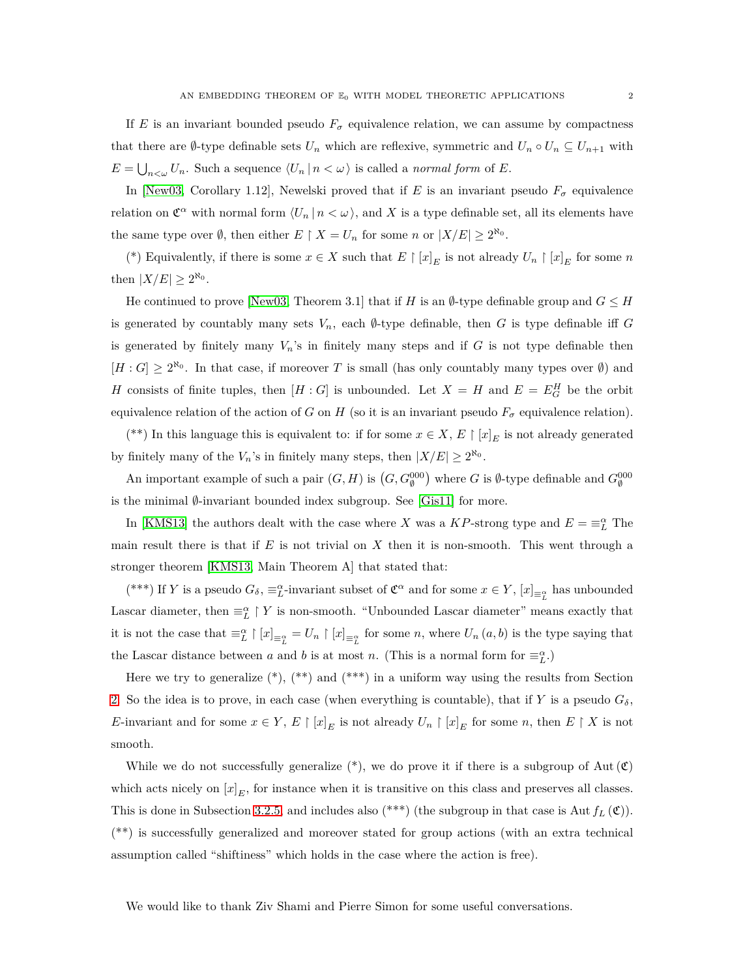If *E* is an invariant bounded pseudo  $F_{\sigma}$  equivalence relation, we can assume by compactness that there are Ø-type definable sets  $U_n$  which are reflexive, symmetric and  $U_n \circ U_n \subseteq U_{n+1}$  with  $E = \bigcup_{n \leq \omega} U_n$ . Such a sequence  $\langle U_n | n \langle \omega \rangle$  is called a *normal form* of *E*.

In [\[New03,](#page-20-0) Corollary 1.12], Newelski proved that if *E* is an invariant pseudo  $F_{\sigma}$  equivalence relation on  $\mathfrak{C}^{\alpha}$  with normal form  $\langle U_n | n < \omega \rangle$ , and X is a type definable set, all its elements have the same type over  $\emptyset$ , then either  $E \restriction X = U_n$  for some *n* or  $|X/E| \geq 2^{\aleph_0}$ .

(\*) Equivalently, if there is some  $x \in X$  such that  $E \restriction [x]_E$  is not already  $U_n \restriction [x]_E$  for some  $n$ then  $|X/E| \geq 2^{\aleph_0}$ .

He continued to prove [\[New03,](#page-20-0) Theorem 3.1] that if *H* is an  $\emptyset$ -type definable group and  $G \leq H$ is generated by countably many sets  $V_n$ , each  $\emptyset$ -type definable, then *G* is type definable iff *G* is generated by finitely many  $V_n$ 's in finitely many steps and if  $G$  is not type definable then  $[H: G] \geq 2^{\aleph_0}$ . In that case, if moreover *T* is small (has only countably many types over  $\emptyset$ ) and *H* consists of finite tuples, then  $[H: G]$  is unbounded. Let  $X = H$  and  $E = E_G^H$  be the orbit equivalence relation of the action of *G* on *H* (so it is an invariant pseudo  $F_{\sigma}$  equivalence relation).

(\*\*) In this language this is equivalent to: if for some  $x \in X$ ,  $E \restriction [x]_E$  is not already generated by finitely many of the  $V_n$ 's in finitely many steps, then  $|X/E| \ge 2^{\aleph_0}$ .

An important example of such a pair  $(G, H)$  is  $(G, G_{\emptyset}^{000})$  where *G* is  $\emptyset$ -type definable and  $G_{\emptyset}^{000}$ is the minimal  $\emptyset$ -invariant bounded index subgroup. See [\[Gis11\]](#page-19-1) for more.

In [\[KMS13\]](#page-19-2) the authors dealt with the case where *X* was a *KP*-strong type and  $E = \equiv_L^{\alpha}$  The main result there is that if *E* is not trivial on *X* then it is non-smooth. This went through a stronger theorem [\[KMS13,](#page-19-2) Main Theorem A] that stated that:

(\*\*\*) If *Y* is a pseudo  $G_{\delta}$ ,  $\equiv_L^{\alpha}$ -invariant subset of  $\mathfrak{C}^{\alpha}$  and for some  $x \in Y$ ,  $[x]_{\equiv_L^{\alpha}}$  has unbounded Lascar diameter, then  $\equiv_L^{\alpha} \restriction Y$  is non-smooth. "Unbounded Lascar diameter" means exactly that it is not the case that  $\equiv_L^{\alpha} \restriction [x]_{\equiv_L^{\alpha}} = U_n \restriction [x]_{\equiv_L^{\alpha}}$  for some *n*, where  $U_n(a, b)$  is the type saying that the Lascar distance between *a* and *b* is at most *n*. (This is a normal form for  $\equiv_L^{\alpha}$ .)

Here we try to generalize  $(*), (**)$  and  $(***)$  in a uniform way using the results from Section [2.](#page-2-0) So the idea is to prove, in each case (when everything is countable), that if *Y* is a pseudo  $G_{\delta}$ , *E*-invariant and for some  $x \in Y$ ,  $E \restriction [x]_E$  is not already  $U_n \restriction [x]_E$  for some *n*, then  $E \restriction X$  is not smooth.

While we do not successfully generalize  $(*)$ , we do prove it if there is a subgroup of Aut  $(\mathfrak{C})$ which acts nicely on  $[x]_E$ , for instance when it is transitive on this class and preserves all classes. This is done in Subsection [3.2.5,](#page-10-1) and includes also  $(**)$  (the subgroup in that case is Aut  $f_L(\mathfrak{C})$ ). (\*\*) is successfully generalized and moreover stated for group actions (with an extra technical assumption called "shiftiness" which holds in the case where the action is free).

We would like to thank Ziv Shami and Pierre Simon for some useful conversations.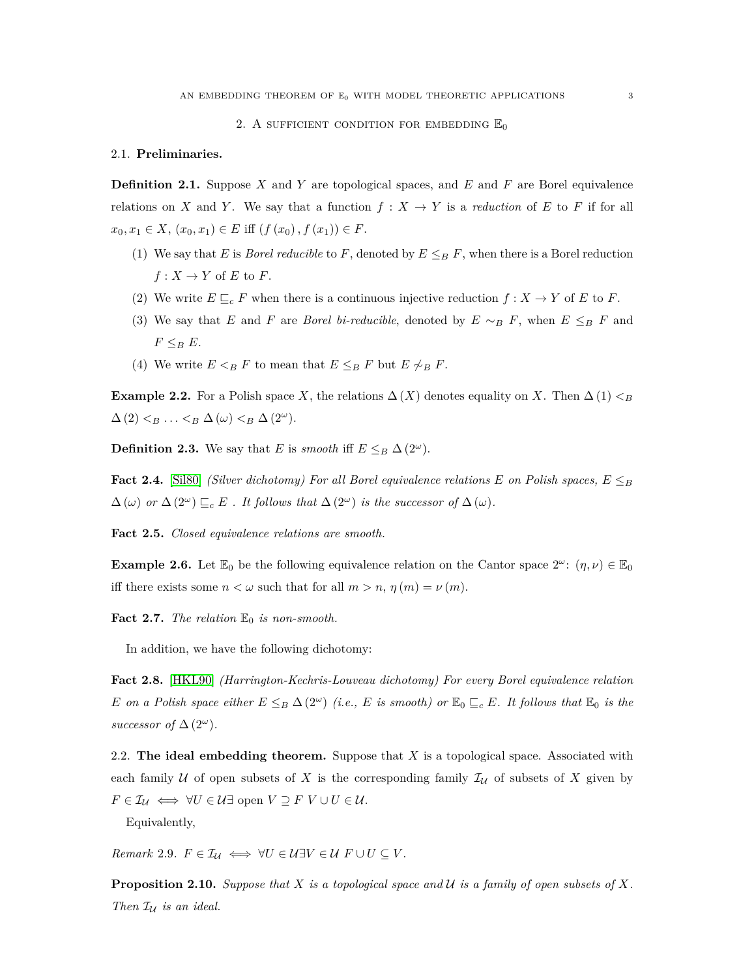### 2. A SUFFICIENT CONDITION FOR EMBEDDING  $\mathbb{E}_0$

### <span id="page-2-0"></span>2.1. **Preliminaries.**

**Definition 2.1.** Suppose *X* and *Y* are topological spaces, and *E* and *F* are Borel equivalence relations on *X* and *Y*. We say that a function  $f: X \to Y$  is a *reduction* of *E* to *F* if for all  $x_0, x_1 \in X$ ,  $(x_0, x_1) \in E$  iff  $(f(x_0), f(x_1)) \in F$ .

- (1) We say that *E* is *Borel reducible* to *F*, denoted by  $E \leq_B F$ , when there is a Borel reduction  $f: X \to Y$  of *E* to *F*.
- (2) We write  $E \sqsubseteq_c F$  when there is a continuous injective reduction  $f : X \to Y$  of  $E$  to  $F$ .
- (3) We say that *E* and *F* are *Borel bi-reducible*, denoted by  $E \sim_B F$ , when  $E \leq_B F$  and  $F \leq_B E$ .
- (4) We write  $E \leq_B F$  to mean that  $E \leq_B F$  but  $E \not\sim_B F$ .

**Example 2.2.** For a Polish space *X*, the relations  $\Delta(X)$  denotes equality on *X*. Then  $\Delta(1) < B$  $\Delta$  (2)  $\lt_B$   $\ldots$   $\lt_B$   $\Delta$  ( $\omega$ )  $\lt_B$   $\Delta$  ( $2^\omega$ ).

**Definition 2.3.** We say that *E* is *smooth* iff  $E \leq_B \Delta(2^{\omega})$ .

**Fact 2.4.** [\[Sil80\]](#page-20-1) *(Silver dichotomy) For all Borel equivalence relations E on Polish spaces,*  $E \leq_B$  $\Delta(\omega)$  *or*  $\Delta(2^{\omega}) \sqsubseteq_c E$ . It follows that  $\Delta(2^{\omega})$  *is the successor of*  $\Delta(\omega)$ *.* 

**Fact 2.5.** *Closed equivalence relations are smooth.*

**Example 2.6.** Let  $\mathbb{E}_0$  be the following equivalence relation on the Cantor space  $2^{\omega}$ :  $(\eta, \nu) \in \mathbb{E}_0$ iff there exists some  $n < \omega$  such that for all  $m > n$ ,  $\eta(m) = \nu(m)$ .

**Fact 2.7.** *The relation*  $\mathbb{E}_0$  *is non-smooth.* 

In addition, we have the following dichotomy:

<span id="page-2-3"></span>**Fact 2.8.** [\[HKL90\]](#page-19-3) *(Harrington-Kechris-Louveau dichotomy) For every Borel equivalence relation E on a Polish space either*  $E \leq_B \Delta(2^{\omega})$  *(i.e., E is smooth) or*  $\mathbb{E}_0 \subseteq_c E$ *. It follows that*  $\mathbb{E}_0$  *is the successor of*  $\Delta(2^{\omega})$ *.* 

2.2. **The ideal embedding theorem.** Suppose that *X* is a topological space. Associated with each family  $U$  of open subsets of  $X$  is the corresponding family  $\mathcal{I}_U$  of subsets of  $X$  given by  $F \in \mathcal{I}_{\mathcal{U}} \iff \forall U \in \mathcal{U}$ ∃ open  $V \supseteq F V \cup U \in \mathcal{U}$ .

Equivalently,

<span id="page-2-1"></span>*Remark* 2.9*.*  $F \in \mathcal{I}_{\mathcal{U}} \iff \forall U \in \mathcal{U} \exists V \in \mathcal{U} \ F \cup U \subseteq V$ .

<span id="page-2-2"></span>**Proposition 2.10.** *Suppose that X is a topological space and* U *is a family of open subsets of X. Then*  $\mathcal{I}_{\mathcal{U}}$  *is an ideal.*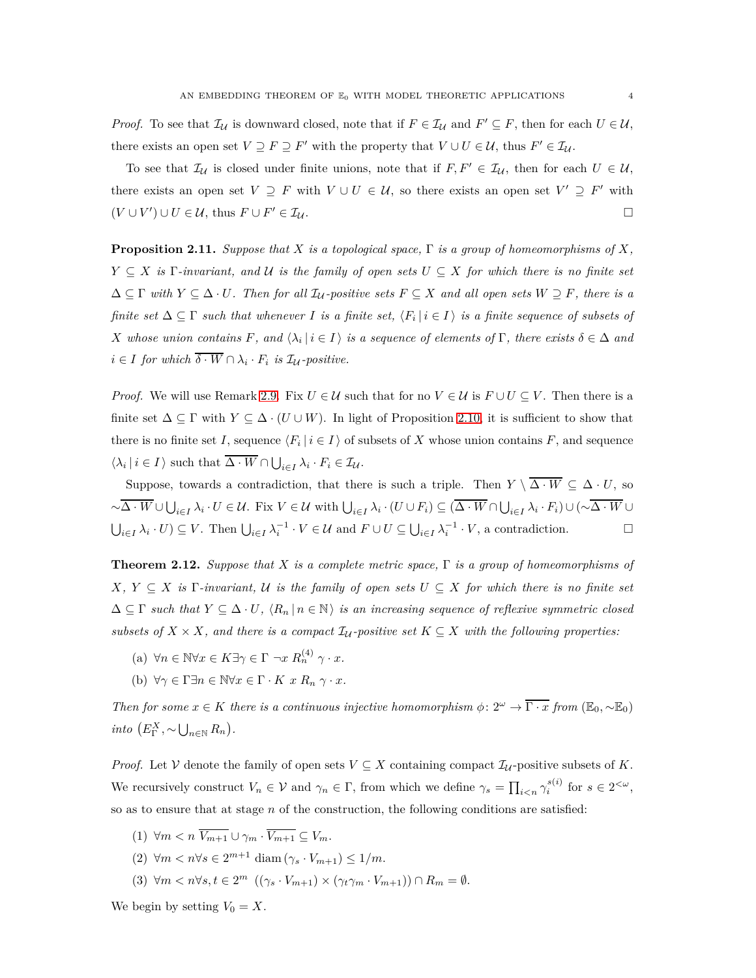*Proof.* To see that  $\mathcal{I}_{\mathcal{U}}$  is downward closed, note that if  $F \in \mathcal{I}_{\mathcal{U}}$  and  $F' \subseteq F$ , then for each  $U \in \mathcal{U}$ , there exists an open set  $V \supseteq F \supseteq F'$  with the property that  $V \cup U \in \mathcal{U}$ , thus  $F' \in \mathcal{I}_{\mathcal{U}}$ .

To see that  $\mathcal{I}_{\mathcal{U}}$  is closed under finite unions, note that if  $F, F' \in \mathcal{I}_{\mathcal{U}}$ , then for each  $U \in \mathcal{U}$ , there exists an open set  $V \supseteq F$  with  $V \cup U \in \mathcal{U}$ , so there exists an open set  $V' \supseteq F'$  with  $(V \cup V') \cup U \in \mathcal{U}$ , thus  $F \cup F$  $\prime \in \mathcal{I}_{\mathcal{U}}$ .

<span id="page-3-0"></span>**Proposition 2.11.** *Suppose that X is a topological space,* Γ *is a group of homeomorphisms of X,*  $Y \subseteq X$  *is*  $\Gamma$ -invariant, and  $U$  *is the family of open sets*  $U \subseteq X$  *for which there is no finite set*  $\Delta \subseteq \Gamma$  *with*  $Y \subseteq \Delta \cdot U$ *. Then for all*  $\mathcal{I}_{\mathcal{U}}$ -positive sets  $F \subseteq X$  and all open sets  $W \supseteq F$ *, there is a finite set*  $\Delta \subseteq \Gamma$  *such that whenever I is a finite set,*  $\langle F_i | i \in I \rangle$  *is a finite sequence of subsets of X* whose union contains  $F$ , and  $\langle \lambda_i | i \in I \rangle$  is a sequence of elements of  $\Gamma$ , there exists  $\delta \in \Delta$  and  $i \in I$  *for which*  $\delta \cdot W \cap \lambda_i \cdot F_i$  *is*  $\mathcal{I}_U$ -positive.

*Proof.* We will use Remark [2.9.](#page-2-1) Fix  $U \in \mathcal{U}$  such that for no  $V \in \mathcal{U}$  is  $F \cup U \subseteq V$ . Then there is a finite set  $\Delta \subseteq \Gamma$  with  $Y \subseteq \Delta \cdot (U \cup W)$ . In light of Proposition [2.10,](#page-2-2) it is sufficient to show that there is no finite set *I*, sequence  $\langle F_i | i \in I \rangle$  of subsets of *X* whose union contains *F*, and sequence  $\langle \lambda_i | i \in I \rangle$  such that  $\Delta \cdot W \cap \bigcup_{i \in I} \lambda_i \cdot F_i \in \mathcal{I}_\mathcal{U}$ .

Suppose, towards a contradiction, that there is such a triple. Then  $Y \setminus \overline{\Delta \cdot W} \subseteq \Delta \cdot U$ , so  $\sim\!\Delta\cdot W\cup\bigcup_{i\in I}\lambda_i\cdot U\in\mathcal{U}$ . Fix  $V\in\mathcal{U}$  with  $\bigcup_{i\in I}\lambda_i\cdot (U\cup F_i)\subseteq (\Delta\cdot W\cap\bigcup_{i\in I}\lambda_i\cdot F_i)\cup(\sim\!\Delta\cdot W\cup$  $\bigcup_{i \in I} \lambda_i \cdot U$   $\subseteq$   $V$ . Then  $\bigcup_{i \in I} \lambda_i^{-1} \cdot V \in \mathcal{U}$  and  $F \cup U \subseteq \bigcup_{i \in I} \lambda_i^{-1} \cdot V$ , a contradiction.

<span id="page-3-1"></span>**Theorem 2.12.** *Suppose that X is a complete metric space,* Γ *is a group of homeomorphisms of*  $X, Y \subseteq X$  *is*  $\Gamma$ *-invariant,*  $U$  *is the family of open sets*  $U \subseteq X$  *for which there is no finite set*  $\Delta \subseteq \Gamma$  *such that*  $Y \subseteq \Delta \cdot U$ ,  $\langle R_n | n \in \mathbb{N} \rangle$  *is an increasing sequence of reflexive symmetric closed subsets of*  $X \times X$ , and there is a compact  $\mathcal{I}_U$ -positive set  $K \subseteq X$  with the following properties:

- $(n) \forall n \in \mathbb{N} \forall x \in K \exists \gamma \in \Gamma \ \neg x \ R_n^{(4)} \ \gamma \cdot x.$
- (b)  $\forall \gamma \in \Gamma \exists n \in \mathbb{N} \forall x \in \Gamma \cdot K \ x \ R_n \ \gamma \cdot x.$

*Then for some*  $x \in K$  *there is a continuous injective homomorphism*  $\phi: 2^{\omega} \to \overline{\Gamma \cdot x}$  *from* ( $\mathbb{E}_0, \sim \mathbb{E}_0$ ) *into*  $(E_{\Gamma}^X, \sim \bigcup_{n \in \mathbb{N}} R_n)$ *.* 

*Proof.* Let V denote the family of open sets  $V \subseteq X$  containing compact  $\mathcal{I}_{\mathcal{U}}$ -positive subsets of K. We recursively construct  $V_n \in \mathcal{V}$  and  $\gamma_n \in \Gamma$ , from which we define  $\gamma_s = \prod_{i \leq n} \gamma_i^{s(i)}$  for  $s \in 2^{<\omega}$ , so as to ensure that at stage *n* of the construction, the following conditions are satisfied:

- $(1)$   $\forall m < n$   $\overline{V_{m+1}} \cup \gamma_m \cdot \overline{V_{m+1}} \subseteq V_m$ .
- (2) ∀*m < n*∀*s* ∈ 2 *<sup>m</sup>*+1 diam (*γ<sup>s</sup>* · *V<sup>m</sup>*+1) ≤ 1*/m*.
- $(3)$   $\forall m < n \forall s, t \in 2^m$   $((\gamma_s \cdot V_{m+1}) \times (\gamma_t \gamma_m \cdot V_{m+1})) \cap R_m = \emptyset.$

We begin by setting  $V_0 = X$ .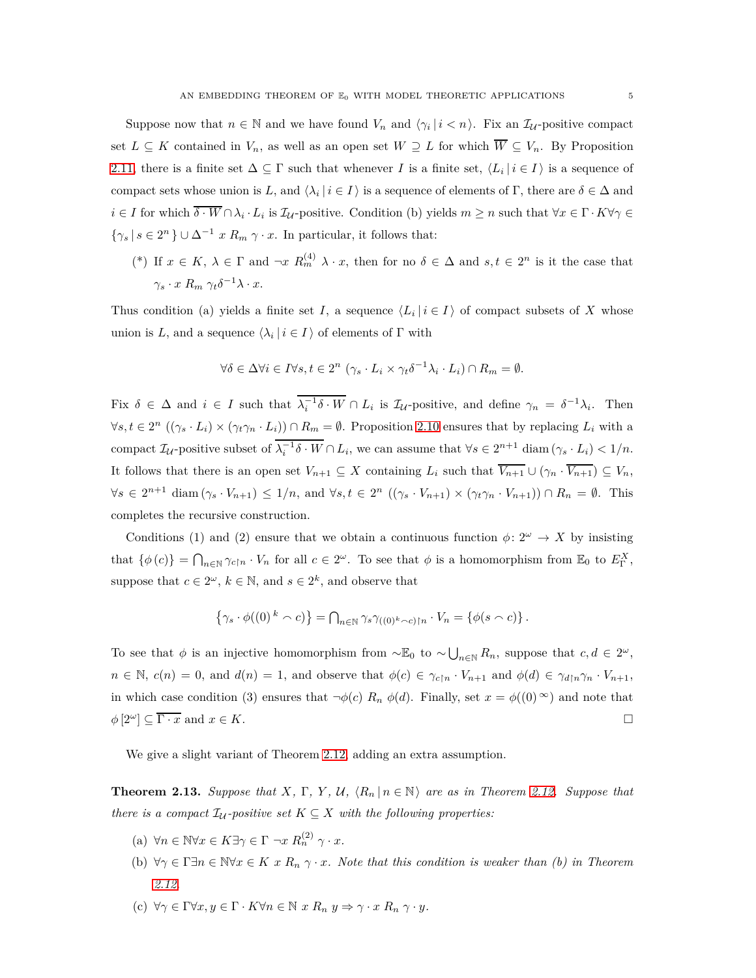Suppose now that  $n \in \mathbb{N}$  and we have found  $V_n$  and  $\langle \gamma_i | i \langle n \rangle$ . Fix an  $\mathcal{I}_{\mathcal{U}}$ -positive compact set  $L \subseteq K$  contained in  $V_n$ , as well as an open set  $W \supseteq L$  for which  $\overline{W} \subseteq V_n$ . By Proposition [2.11,](#page-3-0) there is a finite set  $\Delta \subseteq \Gamma$  such that whenever *I* is a finite set,  $\langle L_i | i \in I \rangle$  is a sequence of compact sets whose union is *L*, and  $\langle \lambda_i | i \in I \rangle$  is a sequence of elements of Γ, there are  $\delta \in \Delta$  and  $i \in I$  for which  $\delta \cdot W \cap \lambda_i \cdot L_i$  is  $\mathcal{I}_U$ -positive. Condition (b) yields  $m \geq n$  such that  $\forall x \in \Gamma \cdot K \forall \gamma \in \mathcal{I}$  $\{\gamma_s | s \in 2^n\} \cup \Delta^{-1} x R_m \gamma \cdot x$ . In particular, it follows that:

(\*) If  $x \in K$ ,  $\lambda \in \Gamma$  and  $\neg x \ R_m^{(4)} \lambda \cdot x$ , then for no  $\delta \in \Delta$  and  $s, t \in 2^n$  is it the case that  $\gamma_s \cdot x \ R_m \ \gamma_t \delta^{-1} \lambda \cdot x.$ 

Thus condition (a) yields a finite set *I*, a sequence  $\langle L_i | i \in I \rangle$  of compact subsets of X whose union is *L*, and a sequence  $\langle \lambda_i | i \in I \rangle$  of elements of  $\Gamma$  with

$$
\forall \delta \in \Delta \forall i \in I \forall s, t \in 2^n \ (\gamma_s \cdot L_i \times \gamma_t \delta^{-1} \lambda_i \cdot L_i) \cap R_m = \emptyset.
$$

Fix  $\delta \in \Delta$  and  $i \in I$  such that  $\lambda_i^{-1} \delta \cdot W \cap L_i$  is  $\mathcal{I}_U$ -positive, and define  $\gamma_n = \delta^{-1} \lambda_i$ . Then  $\forall s, t \in 2^n \ ((\gamma_s \cdot L_i) \times (\gamma_t \gamma_n \cdot L_i)) \cap R_m = \emptyset$ . Proposition [2.10](#page-2-2) ensures that by replacing  $L_i$  with a compact  $\mathcal{I}_{\mathcal{U}}$ -positive subset of  $\lambda_i^{-1} \delta \cdot W \cap L_i$ , we can assume that  $\forall s \in 2^{n+1}$  diam  $(\gamma_s \cdot L_i) < 1/n$ . It follows that there is an open set  $V_{n+1} \subseteq X$  containing  $L_i$  such that  $\overline{V_{n+1}} \cup (\gamma_n \cdot \overline{V_{n+1}}) \subseteq V_n$ ,  $\forall s \in 2^{n+1}$  diam  $(\gamma_s \cdot V_{n+1}) \leq 1/n$ , and  $\forall s, t \in 2^n$   $((\gamma_s \cdot V_{n+1}) \times (\gamma_t \gamma_n \cdot V_{n+1})) \cap R_n = \emptyset$ . This completes the recursive construction.

Conditions (1) and (2) ensure that we obtain a continuous function  $\phi: 2^{\omega} \to X$  by insisting that  $\{\phi(c)\} = \bigcap_{n \in \mathbb{N}} \gamma_{c \upharpoonright n} \cdot V_n$  for all  $c \in 2^\omega$ . To see that  $\phi$  is a homomorphism from  $\mathbb{E}_0$  to  $E_\Gamma^X$ , suppose that  $c \in 2^{\omega}$ ,  $k \in \mathbb{N}$ , and  $s \in 2^k$ , and observe that

$$
\left\{\gamma_s \cdot \phi((0)^k \wedge c)\right\} = \bigcap_{n \in \mathbb{N}} \gamma_s \gamma_{((0)^k \wedge c) \upharpoonright n} \cdot V_n = \left\{\phi(s \wedge c)\right\}.
$$

To see that  $\phi$  is an injective homomorphism from  $\sim \mathbb{E}_0$  to  $\sim \bigcup_{n\in \mathbb{N}} R_n$ , suppose that  $c, d \in 2^\omega$ ,  $n \in \mathbb{N}$ ,  $c(n) = 0$ , and  $d(n) = 1$ , and observe that  $\phi(c) \in \gamma_{c\upharpoonright n} \cdot V_{n+1}$  and  $\phi(d) \in \gamma_{d\upharpoonright n} \gamma_n \cdot V_{n+1}$ , in which case condition (3) ensures that  $\neg \phi(c) R_n \phi(d)$ . Finally, set  $x = \phi((0)^\infty)$  and note that  $\phi$  [2<sup>ω</sup>]  $\subseteq \overline{\Gamma \cdot x}$  and  $x \in K$ .

We give a slight variant of Theorem [2.12,](#page-3-1) adding an extra assumption.

<span id="page-4-0"></span>**Theorem 2.13.** *Suppose that*  $X$ *,*  $\Gamma$ *,*  $Y$ *,*  $U$ *,*  $\langle R_n | n \in \mathbb{N} \rangle$  *are as in Theorem [2.12.](#page-3-1) Suppose that there is a compact*  $\mathcal{I}_{\mathcal{U}}$ *-positive set*  $K \subseteq X$  *with the following properties:* 

- $(n) \forall n \in \mathbb{N} \forall x \in K \exists \gamma \in \Gamma \ \neg x \ R_n^{(2)} \ \gamma \cdot x.$
- (b)  $\forall \gamma \in \Gamma \exists n \in \mathbb{N} \forall x \in K \ x \ R_n \ \gamma \cdot x$ . Note that this condition is weaker than (b) in Theorem *[2.12.](#page-3-1)*
- (c)  $\forall \gamma \in \Gamma \forall x, y \in \Gamma \cdot K \forall n \in \mathbb{N} \ x \ R_n \ y \Rightarrow \gamma \cdot x \ R_n \ \gamma \cdot y$ .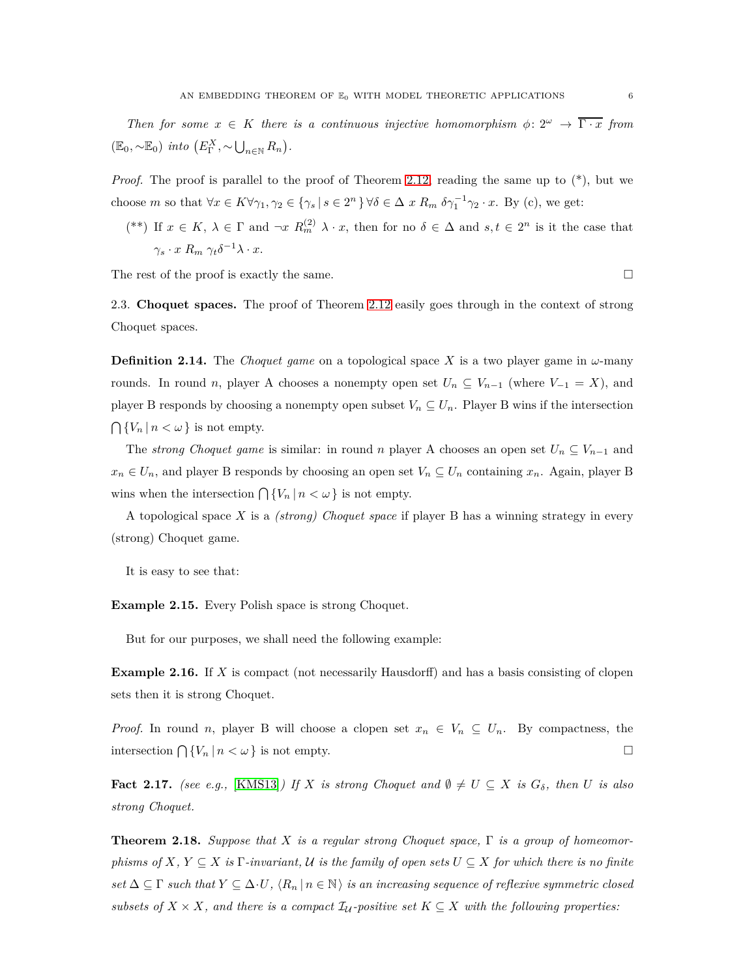*Then for some*  $x \in K$  *there is a continuous injective homomorphism*  $\phi: 2^{\omega} \to \overline{\Gamma \cdot x}$  *from*  $(E_0, \sim E_0)$  *into*  $(E_\Gamma^X, \sim \bigcup_{n \in \mathbb{N}} R_n)$ .

*Proof.* The proof is parallel to the proof of Theorem [2.12,](#page-3-1) reading the same up to  $(*)$ , but we choose *m* so that  $\forall x \in K \forall \gamma_1, \gamma_2 \in {\gamma_s | s \in 2^n} \forall \delta \in \Delta x R_m \delta \gamma_1^{-1} \gamma_2 \cdot x$ . By (c), we get:

(\*\*) If  $x \in K$ ,  $\lambda \in \Gamma$  and  $\neg x \ R_m^{(2)} \lambda \cdot x$ , then for no  $\delta \in \Delta$  and  $s, t \in 2^n$  is it the case that  $\gamma_s \cdot x \ R_m \ \gamma_t \delta^{-1} \lambda \cdot x.$ 

The rest of the proof is exactly the same.

2.3. **Choquet spaces.** The proof of Theorem [2.12](#page-3-1) easily goes through in the context of strong Choquet spaces.

**Definition 2.14.** The *Choquet game* on a topological space *X* is a two player game in *ω*-many rounds. In round *n*, player A chooses a nonempty open set  $U_n \subseteq V_{n-1}$  (where  $V_{-1} = X$ ), and player B responds by choosing a nonempty open subset  $V_n \subseteq U_n$ . Player B wins if the intersection  $\bigcap \{V_n \mid n < \omega\}$  is not empty.

The *strong Choquet game* is similar: in round *n* player A chooses an open set  $U_n \subseteq V_{n-1}$  and  $x_n \in U_n$ , and player B responds by choosing an open set  $V_n \subseteq U_n$  containing  $x_n$ . Again, player B wins when the intersection  $\bigcap \{V_n \mid n < \omega\}$  is not empty.

A topological space *X* is a *(strong) Choquet space* if player B has a winning strategy in every (strong) Choquet game.

It is easy to see that:

**Example 2.15.** Every Polish space is strong Choquet.

But for our purposes, we shall need the following example:

**Example 2.16.** If *X* is compact (not necessarily Hausdorff) and has a basis consisting of clopen sets then it is strong Choquet.

*Proof.* In round *n*, player B will choose a clopen set  $x_n \in V_n \subseteq U_n$ . By compactness, the intersection  $\bigcap \{V_n \mid n < \omega\}$  is not empty.

<span id="page-5-1"></span>**Fact 2.17.** *(see e.g.,* [\[KMS13\]](#page-19-2)*)* If *X is strong Choquet and*  $\emptyset \neq U \subseteq X$  *is*  $G_{\delta}$ *, then U is also strong Choquet.*

<span id="page-5-0"></span>**Theorem 2.18.** *Suppose that X is a regular strong Choquet space,* Γ *is a group of homeomorphisms of*  $X, Y \subseteq X$  *is*  $\Gamma$ *-invariant,*  $U$  *is the family of open sets*  $U \subseteq X$  *for which there is no finite*  $set \Delta \subseteq \Gamma$  *such that*  $Y \subseteq \Delta \cdot U$ ,  $\langle R_n | n \in \mathbb{N} \rangle$  *is an increasing sequence of reflexive symmetric closed subsets of*  $X \times X$ *, and there is a compact*  $\mathcal{I}_U$ -positive set  $K \subseteq X$  with the following properties: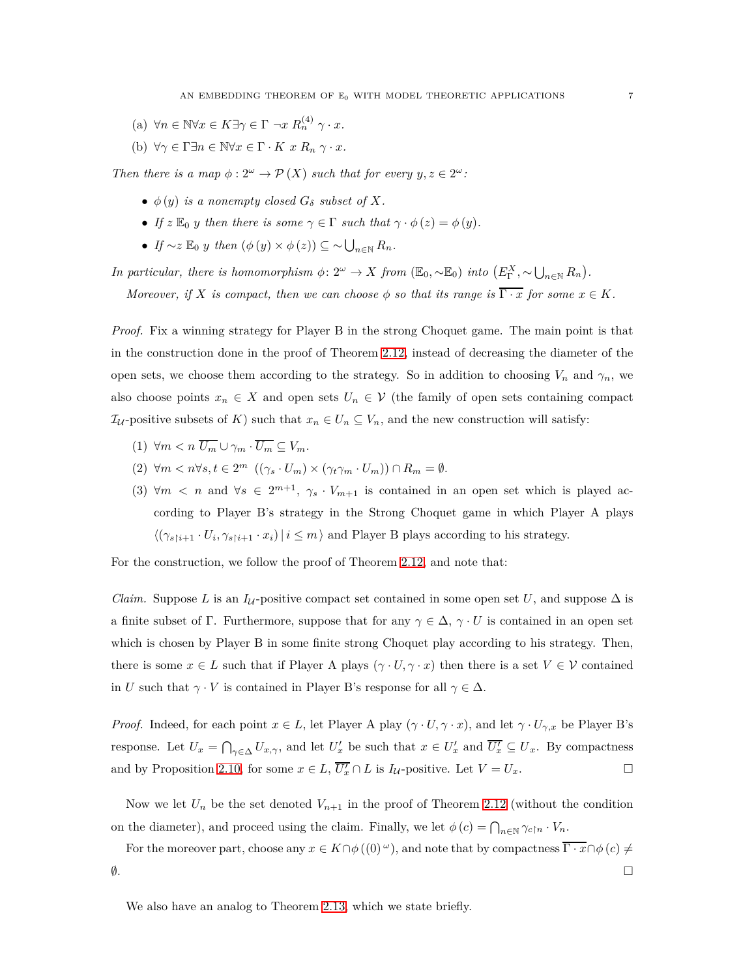- $(n) \forall n \in \mathbb{N} \forall x \in K \exists \gamma \in \Gamma \ \neg x \ R_n^{(4)} \ \gamma \cdot x.$
- (b)  $\forall \gamma \in \Gamma \exists n \in \mathbb{N} \forall x \in \Gamma \cdot K \ x \ R_n \ \gamma \cdot x.$

*Then there is a map*  $\phi: 2^{\omega} \to \mathcal{P}(X)$  *such that for every*  $y, z \in 2^{\omega}$ *:* 

- $\bullet$   $\phi(y)$  *is a nonempty closed*  $G_{\delta}$  *subset of*  $X$ *.*
- *If*  $z \mathbb{E}_0 y$  *then there is some*  $\gamma \in \Gamma$  *such that*  $\gamma \cdot \phi(z) = \phi(y)$ *.*
- *If* ∼*z*  $\mathbb{E}_0$  *y then*  $(\phi(y) \times \phi(z)) \subseteq \sim \bigcup_{n \in \mathbb{N}} R_n$ .

*In particular, there is homomorphism*  $\phi: 2^{\omega} \to X$  *from*  $(\mathbb{E}_0, \sim \mathbb{E}_0)$  *into*  $(E_{\Gamma}^X, \sim \bigcup_{n \in \mathbb{N}} R_n)$ .

*Moreover, if X is compact, then we can choose*  $\phi$  *so that its range is*  $\overline{\Gamma \cdot x}$  *for some*  $x \in K$ *.* 

*Proof.* Fix a winning strategy for Player B in the strong Choquet game. The main point is that in the construction done in the proof of Theorem [2.12,](#page-3-1) instead of decreasing the diameter of the open sets, we choose them according to the strategy. So in addition to choosing  $V_n$  and  $\gamma_n$ , we also choose points  $x_n \in X$  and open sets  $U_n \in V$  (the family of open sets containing compact  $\mathcal{I}_{\mathcal{U}}$ -positive subsets of *K*) such that  $x_n \in U_n \subseteq V_n$ , and the new construction will satisfy:

- $(1)$   $\forall m \leq n \overline{U_m} \cup \gamma_m \cdot \overline{U_m} \subseteq V_m$ .
- $(2)$   $\forall m < n \forall s, t \in 2^m \ ((\gamma_s \cdot U_m) \times (\gamma_t \gamma_m \cdot U_m)) \cap R_m = \emptyset.$
- (3)  $\forall m \leq n$  and  $\forall s \in 2^{m+1}, \gamma_s \cdot V_{m+1}$  is contained in an open set which is played according to Player B's strategy in the Strong Choquet game in which Player A plays  $\langle (\gamma_{s\upharpoonright i+1} \cdot U_i, \gamma_{s\upharpoonright i+1} \cdot x_i) | i \leq m \rangle$  and Player B plays according to his strategy.

For the construction, we follow the proof of Theorem [2.12,](#page-3-1) and note that:

*Claim.* Suppose *L* is an *I*<sub>U</sub>-positive compact set contained in some open set *U*, and suppose  $\Delta$  is a finite subset of Γ. Furthermore, suppose that for any  $\gamma \in \Delta$ ,  $\gamma \cdot U$  is contained in an open set which is chosen by Player B in some finite strong Choquet play according to his strategy. Then, there is some  $x \in L$  such that if Player A plays  $(\gamma \cdot U, \gamma \cdot x)$  then there is a set  $V \in \mathcal{V}$  contained in *U* such that  $\gamma \cdot V$  is contained in Player B's response for all  $\gamma \in \Delta$ .

*Proof.* Indeed, for each point  $x \in L$ , let Player A play  $(\gamma \cdot U, \gamma \cdot x)$ , and let  $\gamma \cdot U_{\gamma, x}$  be Player B's response. Let  $U_x = \bigcap_{\gamma \in \Delta} U_{x,\gamma}$ , and let  $U'_x$  be such that  $x \in U'_x$  and  $\overline{U'_x} \subseteq U_x$ . By compactness and by Proposition [2.10,](#page-2-2) for some  $x \in L$ ,  $\overline{U_x'} \cap L$  is  $I_{\mathcal{U}}$ -positive. Let  $V = U_x$ .

Now we let  $U_n$  be the set denoted  $V_{n+1}$  in the proof of Theorem [2.12](#page-3-1) (without the condition on the diameter), and proceed using the claim. Finally, we let  $\phi(c) = \bigcap_{n \in \mathbb{N}} \gamma_{c \restriction n} \cdot V_n$ .

For the moreover part, choose any  $x \in K \cap \phi((0)^\omega)$ , and note that by compactness  $\overline{\Gamma \cdot x} \cap \phi(c) \neq$  $\emptyset$ .

We also have an analog to Theorem [2.13,](#page-4-0) which we state briefly.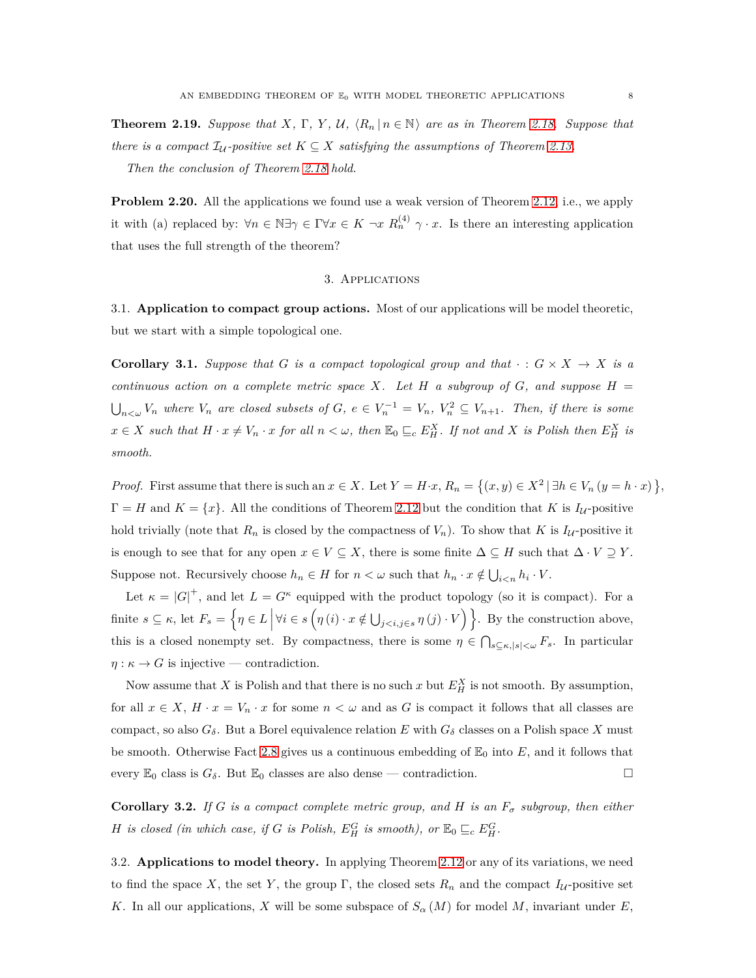<span id="page-7-1"></span>**Theorem 2.19.** *Suppose that*  $X$ ,  $\Gamma$ ,  $Y$ ,  $U$ ,  $\langle R_n | n \in \mathbb{N} \rangle$  are as in Theorem [2.18.](#page-5-0) Suppose that *there is a compact*  $\mathcal{I}_U$ -positive set  $K \subseteq X$  satisfying the assumptions of Theorem [2.13.](#page-4-0)

*Then the conclusion of Theorem [2.18](#page-5-0) hold.*

<span id="page-7-0"></span>**Problem 2.20.** All the applications we found use a weak version of Theorem [2.12,](#page-3-1) i.e., we apply it with (a) replaced by:  $\forall n \in \mathbb{N} \exists \gamma \in \Gamma \forall x \in K \neg x \ R_n^{(4)} \gamma \cdot x$ . Is there an interesting application that uses the full strength of the theorem?

#### 3. Applications

3.1. **Application to compact group actions.** Most of our applications will be model theoretic, but we start with a simple topological one.

**Corollary 3.1.** *Suppose that G is a compact topological group and that*  $\cdot : G \times X \rightarrow X$  *is a continuous action on a complete metric space*  $X$ *. Let*  $H$  *a subgroup of*  $G$ *, and suppose*  $H$  =  $\bigcup_{n<\omega}V_n$  where  $V_n$  are closed subsets of  $G, e \in V_n^{-1} = V_n, V_n^2 \subseteq V_{n+1}$ . Then, if there is some  $x \in X$  such that  $H \cdot x \neq V_n \cdot x$  for all  $n < \omega$ , then  $\mathbb{E}_0 \sqsubseteq_c E_H^X$ . If not and X is Polish then  $E_H^X$  is *smooth.*

*Proof.* First assume that there is such an  $x \in X$ . Let  $Y = H \cdot x$ ,  $R_n = \{(x, y) \in X^2 \mid \exists h \in V_n (y = h \cdot x)\}\,$  $\Gamma = H$  and  $K = \{x\}$ . All the conditions of Theorem [2.12](#page-3-1) but the condition that *K* is  $I_{\mathcal{U}}$ -positive hold trivially (note that  $R_n$  is closed by the compactness of  $V_n$ ). To show that  $K$  is  $I_{\mathcal{U}}$ -positive it is enough to see that for any open  $x \in V \subseteq X$ , there is some finite  $\Delta \subseteq H$  such that  $\Delta \cdot V \supseteq Y$ . Suppose not. Recursively choose  $h_n \in H$  for  $n < \omega$  such that  $h_n \cdot x \notin \bigcup_{i \leq n} h_i \cdot V$ .

Let  $\kappa = |G|^+$ , and let  $L = G^{\kappa}$  equipped with the product topology (so it is compact). For a  $\text{finite } s \subseteq \kappa \text{, let } F_s = \left\{ \eta \in L \, \Big| \, \forall i \in s \left( \eta(i) \cdot x \notin \bigcup_{j < i, j \in s} \eta(j) \cdot V \right) \right\}$ . By the construction above, this is a closed nonempty set. By compactness, there is some  $\eta \in \bigcap_{s \subseteq \kappa, |s| < \omega} F_s$ . In particular  $\eta : \kappa \to G$  is injective — contradiction.

Now assume that *X* is Polish and that there is no such *x* but  $E_A^X$  is not smooth. By assumption, for all  $x \in X$ ,  $H \cdot x = V_n \cdot x$  for some  $n < \omega$  and as G is compact it follows that all classes are compact, so also  $G_{\delta}$ . But a Borel equivalence relation *E* with  $G_{\delta}$  classes on a Polish space *X* must be smooth. Otherwise Fact [2.8](#page-2-3) gives us a continuous embedding of  $\mathbb{E}_0$  into  $E$ , and it follows that every  $\mathbb{E}_0$  class is  $G_\delta$ . But  $\mathbb{E}_0$  classes are also dense — contradiction.

**Corollary 3.2.** *If G is a compact complete metric group, and H is an*  $F_{\sigma}$  *subgroup, then either H is closed (in which case, if G is Polish,*  $E_H^G$  *is smooth),* or  $\mathbb{E}_0 \subseteq_c E_H^G$ .

3.2. **Applications to model theory.** In applying Theorem [2.12](#page-3-1) or any of its variations, we need to find the space X, the set Y, the group  $\Gamma$ , the closed sets  $R_n$  and the compact  $I_{\mathcal{U}}$ -positive set *K*. In all our applications, *X* will be some subspace of  $S_\alpha(M)$  for model *M*, invariant under *E*,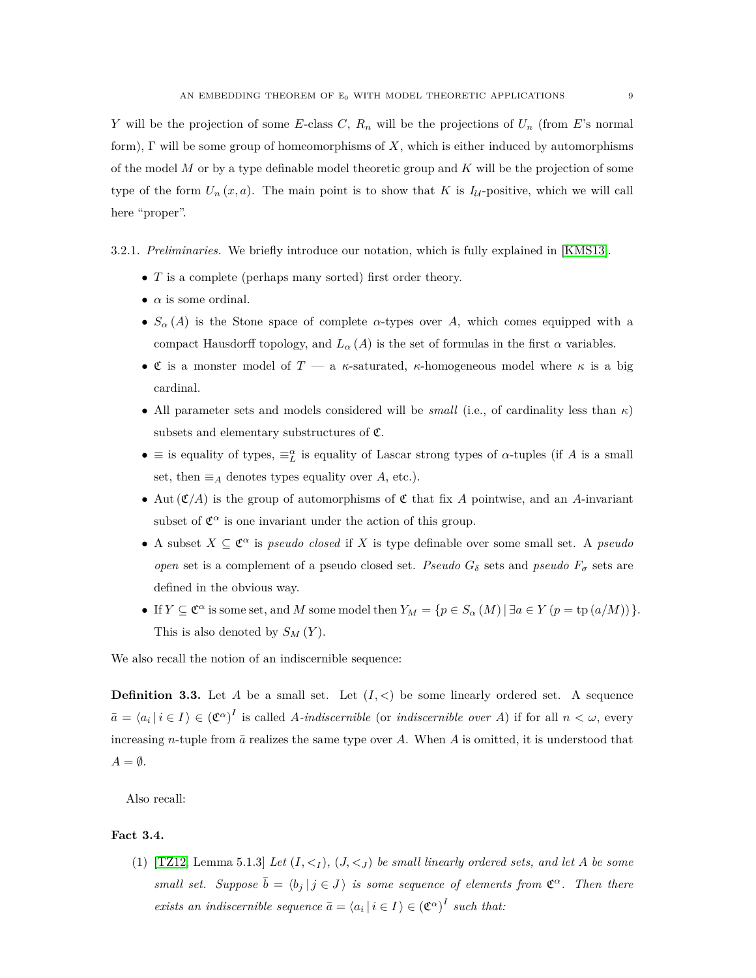*Y* will be the projection of some *E*-class *C*, *R<sup>n</sup>* will be the projections of *U<sup>n</sup>* (from *E*'s normal form), Γ will be some group of homeomorphisms of *X*, which is either induced by automorphisms of the model *M* or by a type definable model theoretic group and *K* will be the projection of some type of the form  $U_n(x, a)$ . The main point is to show that K is  $I_{\mathcal{U}}$ -positive, which we will call here "proper".

3.2.1. *Preliminaries.* We briefly introduce our notation, which is fully explained in [\[KMS13\]](#page-19-2).

- *T* is a complete (perhaps many sorted) first order theory.
- $\bullet$   $\alpha$  is some ordinal.
- $S_\alpha(A)$  is the Stone space of complete  $\alpha$ -types over A, which comes equipped with a compact Hausdorff topology, and  $L_{\alpha}(A)$  is the set of formulas in the first  $\alpha$  variables.
- C is a monster model of *T* a *κ*-saturated, *κ*-homogeneous model where *κ* is a big cardinal.
- All parameter sets and models considered will be *small* (i.e., of cardinality less than *κ*) subsets and elementary substructures of  $\mathfrak{C}$ .
- $\bullet$  ≡ is equality of types,  $\equiv_L^{\alpha}$  is equality of Lascar strong types of *α*-tuples (if *A* is a small set, then  $\equiv_A$  denotes types equality over *A*, etc.).
- Aut  $(\mathfrak{C}/A)$  is the group of automorphisms of  $\mathfrak{C}$  that fix A pointwise, and an A-invariant subset of  $\mathfrak{C}^{\alpha}$  is one invariant under the action of this group.
- A subset  $X \subseteq \mathfrak{C}^{\alpha}$  is *pseudo closed* if X is type definable over some small set. A *pseudo open* set is a complement of a pseudo closed set. *Pseudo*  $G_{\delta}$  sets and *pseudo*  $F_{\sigma}$  sets are defined in the obvious way.
- $\bullet$  If *Y* ⊆ **c**<sup>α</sup> is some set, and *M* some model then  $Y_M = \{ p \in S_\alpha(M) | \exists a \in Y (p = tp(a/M)) \}.$ This is also denoted by  $S_M(Y)$ .

We also recall the notion of an indiscernible sequence:

**Definition 3.3.** Let *A* be a small set. Let  $(I, \leq)$  be some linearly ordered set. A sequence  $\bar{a} = \langle a_i | i \in I \rangle \in (\mathfrak{C}^{\alpha})^I$  is called *A-indiscernible* (or *indiscernible over A*) if for all  $n < \omega$ , every increasing *n*-tuple from  $\bar{a}$  realizes the same type over *A*. When *A* is omitted, it is understood that  $A = \emptyset$ .

Also recall:

# <span id="page-8-0"></span>**Fact 3.4.**

(1)  $[TZ12, Lemma 5.1.3] Let  $(I, <_I)$ ,  $(J, <_J)$  be small linearly ordered sets, and let A be some$ *small set.* Suppose  $\bar{b} = \langle b_j | j \in J \rangle$  *is some sequence of elements from*  $\mathfrak{C}^{\alpha}$ *. Then there exists an indiscernible sequence*  $\bar{a} = \langle a_i | i \in I \rangle \in (\mathfrak{C}^{\alpha})^I$  such that: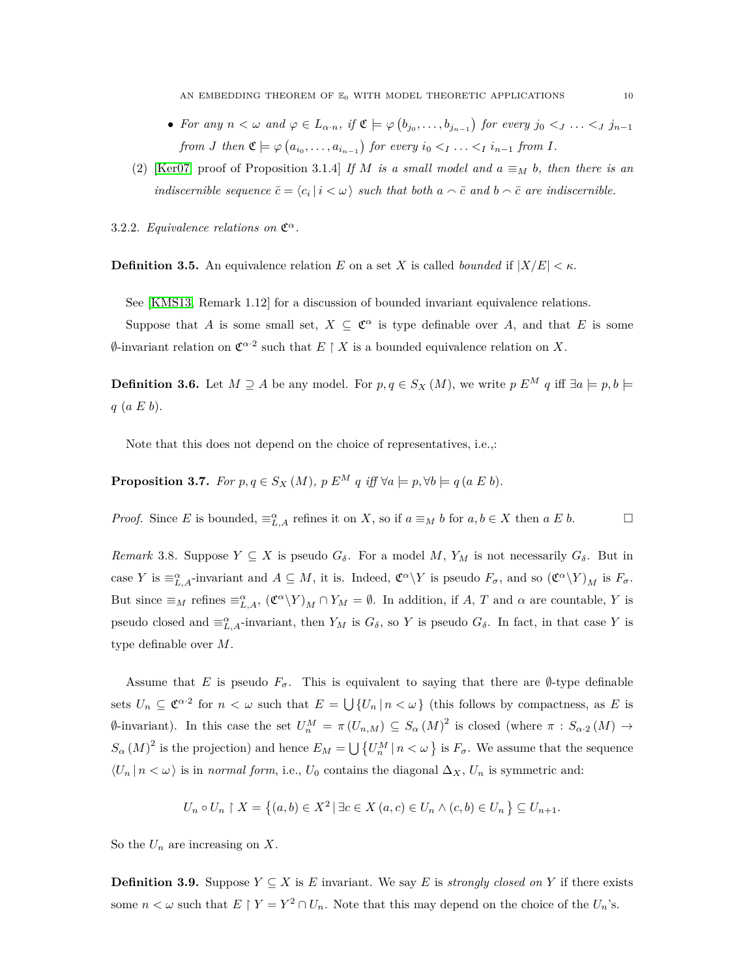- For any  $n < \omega$  and  $\varphi \in L_{\alpha \cdot n}$ , if  $\mathfrak{C} \models \varphi(b_{j_0}, \ldots, b_{j_{n-1}})$  for every  $j_0 < j \ldots < j_{n-1}$ *from J* then  $\mathfrak{C} \models \varphi(a_{i_0}, \ldots, a_{i_{n-1}})$  for every  $i_0 <_I \ldots <_I i_{n-1}$  from *I*.
- (2) [\[Ker07,](#page-19-4) proof of Proposition 3.1.4] *If M is a small model and*  $a \equiv_M b$ *, then there is an indiscernible sequence*  $\bar{c} = \langle c_i | i \langle \omega \rangle$  *such that both*  $a \wedge \bar{c}$  *and*  $b \wedge \bar{c}$  *are indiscernible.*
- <span id="page-9-0"></span>3.2.2. *Equivalence relations on*  $\mathfrak{C}^{\alpha}$ *.*

**Definition 3.5.** An equivalence relation *E* on a set *X* is called *bounded* if  $|X/E| < \kappa$ .

See [\[KMS13,](#page-19-2) Remark 1.12] for a discussion of bounded invariant equivalence relations.

Suppose that *A* is some small set,  $X \subseteq \mathfrak{C}^{\alpha}$  is type definable over *A*, and that *E* is some  $\emptyset$ -invariant relation on  $\mathfrak{C}^{\alpha,2}$  such that  $E \restriction X$  is a bounded equivalence relation on X.

**Definition 3.6.** Let *M* ⊇ *A* be any model. For  $p, q \in S_X(M)$ , we write  $p E^M q$  iff  $\exists a \models p, b \models q$ *q* (*a E b*).

Note that this does not depend on the choice of representatives, i.e.,:

**Proposition 3.7.** *For*  $p, q \in S_X(M)$ ,  $p E^M q$  *iff*  $\forall a \models p, \forall b \models q (a E b)$ *.* 

*Proof.* Since *E* is bounded,  $\equiv_{L,A}^{\alpha}$  refines it on *X*, so if  $a \equiv_M b$  for  $a, b \in X$  then  $a \in B$ .

<span id="page-9-1"></span>*Remark* 3.8. Suppose  $Y \subseteq X$  is pseudo  $G_{\delta}$ . For a model M,  $Y_M$  is not necessarily  $G_{\delta}$ . But in case *Y* is  $\equiv_{L,A}^{\alpha}$ -invariant and  $A \subseteq M$ , it is. Indeed,  $\mathfrak{C}^{\alpha}\backslash Y$  is pseudo  $F_{\sigma}$ , and so  $(\mathfrak{C}^{\alpha}\backslash Y)_{M}$  is  $F_{\sigma}$ . But since  $\equiv_M$  refines  $\equiv_{L,A}^{\alpha}$ ,  $({\mathfrak C}^{\alpha}\backslash Y)_M \cap Y_M = \emptyset$ . In addition, if *A*, *T* and *α* are countable, *Y* is pseudo closed and  $\equiv_{L,A}^{\alpha}$ -invariant, then  $Y_M$  is  $G_{\delta}$ , so  $Y$  is pseudo  $G_{\delta}$ . In fact, in that case  $Y$  is type definable over *M*.

Assume that *E* is pseudo  $F_{\sigma}$ . This is equivalent to saying that there are  $\emptyset$ -type definable sets  $U_n \subseteq \mathfrak{C}^{\alpha}$  for  $n < \omega$  such that  $E = \bigcup \{U_n | n < \omega\}$  (this follows by compactness, as *E* is  $\emptyset$ -invariant). In this case the set  $U_n^M = \pi (U_{n,M})$  ⊆  $S_\alpha (M)^2$  is closed (where  $\pi : S_{\alpha,2}(M)$  →  $S_{\alpha}(M)^2$  is the projection) and hence  $E_M = \bigcup \{U_n^M \mid n \lt \omega\}$  is  $F_{\sigma}$ . We assume that the sequence  $\langle U_n | n < \omega \rangle$  is in *normal form*, i.e.,  $U_0$  contains the diagonal  $\Delta_X$ ,  $U_n$  is symmetric and:

$$
U_n \circ U_n \upharpoonright X = \left\{ (a, b) \in X^2 \, | \, \exists c \in X \, (a, c) \in U_n \land (c, b) \in U_n \right\} \subseteq U_{n+1}.
$$

So the *U<sup>n</sup>* are increasing on *X*.

<span id="page-9-2"></span>**Definition 3.9.** Suppose  $Y \subseteq X$  is *E* invariant. We say *E* is *strongly closed on Y* if there exists some  $n < \omega$  such that  $E \restriction Y = Y^2 \cap U_n$ . Note that this may depend on the choice of the  $U_n$ 's.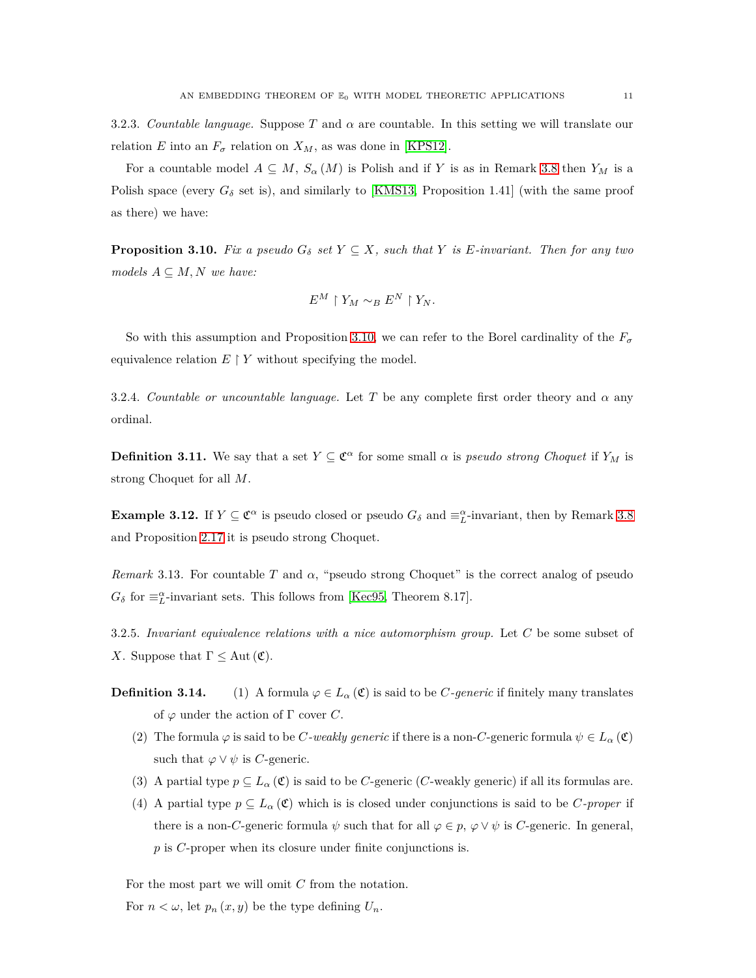<span id="page-10-0"></span>3.2.3. *Countable language.* Suppose *T* and *α* are countable. In this setting we will translate our relation *E* into an  $F_{\sigma}$  relation on  $X_M$ , as was done in [\[KPS12\]](#page-19-0).

For a countable model  $A \subseteq M$ ,  $S_\alpha(M)$  is Polish and if Y is as in Remark [3.8](#page-9-1) then  $Y_M$  is a Polish space (every  $G_{\delta}$  set is), and similarly to [\[KMS13,](#page-19-2) Proposition 1.41] (with the same proof as there) we have:

<span id="page-10-2"></span>**Proposition 3.10.** *Fix a pseudo*  $G_{\delta}$  *set*  $Y \subseteq X$ *, such that*  $Y$  *is*  $E$ *-invariant. Then for any two*  $models A \subseteq M, N$  *we have:* 

$$
E^M \restriction Y_M \sim_B E^N \restriction Y_N.
$$

So with this assumption and Proposition [3.10,](#page-10-2) we can refer to the Borel cardinality of the  $F_{\sigma}$ equivalence relation  $E \restriction Y$  without specifying the model.

3.2.4. *Countable or uncountable language.* Let *T* be any complete first order theory and *α* any ordinal.

**Definition 3.11.** We say that a set  $Y \subseteq \mathfrak{C}^{\alpha}$  for some small  $\alpha$  is *pseudo strong Choquet* if  $Y_M$  is strong Choquet for all *M*.

**Example 3.12.** If  $Y \subseteq \mathbb{C}^{\alpha}$  is pseudo closed or pseudo  $G_{\delta}$  and  $\equiv_L^{\alpha}$ -invariant, then by Remark [3.8](#page-9-1) and Proposition [2.17](#page-5-1) it is pseudo strong Choquet.

*Remark* 3.13. For countable *T* and  $\alpha$ , "pseudo strong Choquet" is the correct analog of pseudo  $G_{\delta}$  for  $\equiv_L^{\alpha}$ -invariant sets. This follows from [\[Kec95,](#page-19-5) Theorem 8.17].

<span id="page-10-1"></span>3.2.5. *Invariant equivalence relations with a nice automorphism group.* Let *C* be some subset of *X*. Suppose that  $\Gamma \leq \text{Aut}(\mathfrak{C})$ .

- **Definition 3.14.** (1) A formula  $\varphi \in L_\alpha(\mathfrak{C})$  is said to be *C-generic* if finitely many translates of  $\varphi$  under the action of  $\Gamma$  cover  $C$ .
	- (2) The formula  $\varphi$  is said to be *C-weakly generic* if there is a non-*C*-generic formula  $\psi \in L_{\alpha}(\mathfrak{C})$ such that  $\varphi \lor \psi$  is *C*-generic.
	- (3) A partial type  $p \subseteq L_\alpha(\mathfrak{C})$  is said to be *C*-generic (*C*-weakly generic) if all its formulas are.
	- (4) A partial type  $p \subseteq L_\alpha(\mathfrak{C})$  which is is closed under conjunctions is said to be *C*-proper if there is a non-*C*-generic formula  $\psi$  such that for all  $\varphi \in p$ ,  $\varphi \vee \psi$  is *C*-generic. In general, *p* is *C*-proper when its closure under finite conjunctions is.

For the most part we will omit *C* from the notation.

For  $n < \omega$ , let  $p_n(x, y)$  be the type defining  $U_n$ .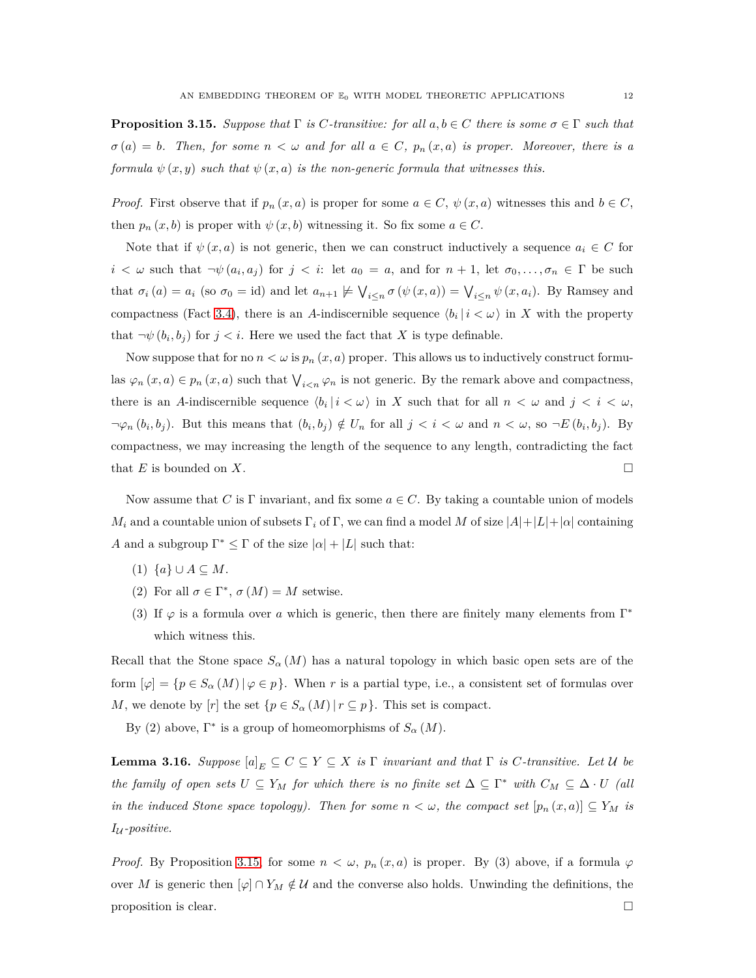<span id="page-11-0"></span>**Proposition 3.15.** *Suppose that*  $\Gamma$  *is*  $C$ *-transitive: for all*  $a, b \in C$  *there is some*  $\sigma \in \Gamma$  *such that*  $\sigma(a) = b$ *. Then, for some*  $n < \omega$  *and for all*  $a \in C$ *,*  $p_n(x, a)$  *is proper. Moreover, there is a formula*  $\psi(x, y)$  *such that*  $\psi(x, a)$  *is the non-generic formula that witnesses this.* 

*Proof.* First observe that if  $p_n(x, a)$  is proper for some  $a \in C$ ,  $\psi(x, a)$  witnesses this and  $b \in C$ , then  $p_n(x, b)$  is proper with  $\psi(x, b)$  witnessing it. So fix some  $a \in C$ .

Note that if  $\psi(x, a)$  is not generic, then we can construct inductively a sequence  $a_i \in C$  for  $i < \omega$  such that  $\neg \psi(a_i, a_j)$  for  $j < i$ : let  $a_0 = a$ , and for  $n + 1$ , let  $\sigma_0, \ldots, \sigma_n \in \Gamma$  be such that  $\sigma_i(a) = a_i$  (so  $\sigma_0 = id$ ) and let  $a_{n+1} \not\models \bigvee_{i \leq n} \sigma(\psi(x, a)) = \bigvee_{i \leq n} \psi(x, a_i)$ . By Ramsey and compactness (Fact [3.4\)](#page-8-0), there is an *A*-indiscernible sequence  $\langle b_i | i \langle \omega \rangle$  in *X* with the property that  $\neg \psi(b_i, b_j)$  for  $j < i$ . Here we used the fact that *X* is type definable.

Now suppose that for no  $n < \omega$  is  $p_n(x, a)$  proper. This allows us to inductively construct formulas  $\varphi_n(x, a) \in p_n(x, a)$  such that  $\bigvee_{i \leq n} \varphi_n$  is not generic. By the remark above and compactness, there is an *A*-indiscernible sequence  $\langle b_i | i \langle \omega \rangle$  in *X* such that for all  $n \langle \omega \rangle$  and  $j \langle i \langle \omega \rangle$ ,  $\neg \varphi_n(b_i, b_j)$ . But this means that  $(b_i, b_j) \notin U_n$  for all  $j < i < \omega$  and  $n < \omega$ , so  $\neg E(b_i, b_j)$ . By compactness, we may increasing the length of the sequence to any length, contradicting the fact that *E* is bounded on *X*.

Now assume that *C* is  $\Gamma$  invariant, and fix some  $a \in C$ . By taking a countable union of models *M*<sub>*i*</sub> and a countable union of subsets  $\Gamma_i$  of  $\Gamma$ , we can find a model *M* of size  $|A|+|L|+|\alpha|$  containing *A* and a subgroup  $\Gamma^* \leq \Gamma$  of the size  $|\alpha| + |L|$  such that:

- $(1) \ \{a\} \cup A \subseteq M.$
- (2) For all  $\sigma \in \Gamma^*$ ,  $\sigma(M) = M$  setwise.
- (3) If  $\varphi$  is a formula over *a* which is generic, then there are finitely many elements from  $\Gamma^*$ which witness this.

Recall that the Stone space  $S_\alpha(M)$  has a natural topology in which basic open sets are of the form  $[\varphi] = \{p \in S_\alpha(M) | \varphi \in p\}$ . When *r* is a partial type, i.e., a consistent set of formulas over *M*, we denote by [*r*] the set  $\{p \in S_\alpha(M) | r \subseteq p\}$ . This set is compact.

By (2) above,  $\Gamma^*$  is a group of homeomorphisms of  $S_\alpha(M)$ .

<span id="page-11-1"></span>**Lemma 3.16.** *Suppose*  $[a]_E \subseteq C \subseteq Y \subseteq X$  *is*  $\Gamma$  *invariant and that*  $\Gamma$  *is*  $C$ *-transitive. Let*  $U$  *be the family of open sets*  $U \subseteq Y_M$  *for which there is no finite set*  $\Delta \subseteq \Gamma^*$  *with*  $C_M \subseteq \Delta \cdot U$  *(all in the induced Stone space topology). Then for some*  $n < \omega$ , the compact set  $[p_n(x, a)] \subseteq Y_M$  is *I*<sup>U</sup> *-positive.*

*Proof.* By Proposition [3.15,](#page-11-0) for some  $n < \omega$ ,  $p_n(x, a)$  is proper. By (3) above, if a formula  $\varphi$ over M is generic then  $[\varphi] \cap Y_M \notin \mathcal{U}$  and the converse also holds. Unwinding the definitions, the proposition is clear.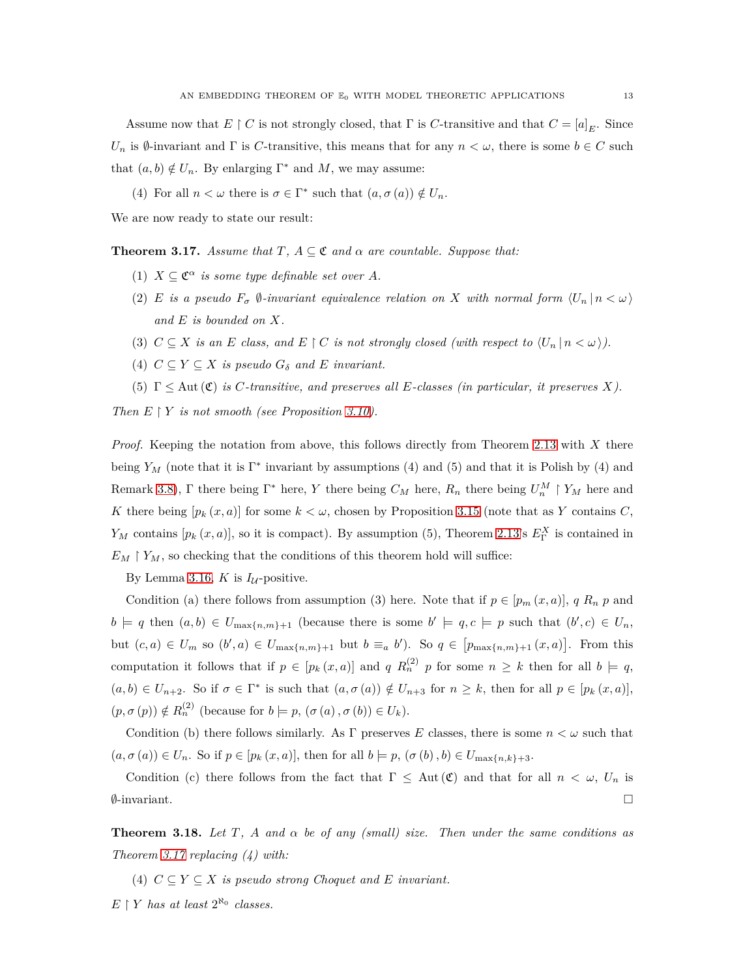Assume now that  $E \restriction C$  is not strongly closed, that  $\Gamma$  is  $C$ -transitive and that  $C = [a]_E$ . Since *U<sub>n</sub>* is  $\emptyset$ -invariant and  $\Gamma$  is *C*-transitive, this means that for any  $n < \omega$ , there is some  $b \in C$  such that  $(a, b) \notin U_n$ . By enlarging  $\Gamma^*$  and M, we may assume:

(4) For all  $n < \omega$  there is  $\sigma \in \Gamma^*$  such that  $(a, \sigma(a)) \notin U_n$ .

We are now ready to state our result:

<span id="page-12-0"></span>**Theorem 3.17.** *Assume that*  $T$ ,  $A \subseteq \mathfrak{C}$  *and*  $\alpha$  *are countable. Suppose that:* 

- (1)  $X \subseteq \mathfrak{C}^{\alpha}$  *is some type definable set over A.*
- (2) *E is a pseudo*  $F_{\sigma}$   $\emptyset$ -invariant equivalence relation on *X* with normal form  $\langle U_n | n < \omega \rangle$ *and E is bounded on X.*
- (3)  $C \subseteq X$  *is an*  $E$  *class, and*  $E \restriction C$  *is not strongly closed (with respect to*  $\langle U_n | n < \omega \rangle$ ).
- (4)  $C \subseteq Y \subseteq X$  *is pseudo*  $G_{\delta}$  *and E invariant.*
- (5) Γ ≤ Aut (C) *is C-transitive, and preserves all E-classes (in particular, it preserves X).*

*Then*  $E \restriction Y$  *is not smooth (see Proposition [3.10\)](#page-10-2).* 

*Proof.* Keeping the notation from above, this follows directly from Theorem [2.13](#page-4-0) with *X* there being  $Y_M$  (note that it is  $\Gamma^*$  invariant by assumptions (4) and (5) and that it is Polish by (4) and Remark [3.8\)](#page-9-1),  $\Gamma$  there being  $\Gamma^*$  here, *Y* there being  $C_M$  here,  $R_n$  there being  $U_n^M \restriction Y_M$  here and *K* there being  $[p_k(x, a)]$  for some  $k < \omega$ , chosen by Proposition [3.15](#page-11-0) (note that as *Y* contains *C*, *Y<sub>M</sub>* contains  $[p_k(x, a)]$ , so it is compact). By assumption (5), Theorem [2.13'](#page-4-0)s  $E^X_{\Gamma}$  is contained in  $E_M \upharpoonright Y_M$ , so checking that the conditions of this theorem hold will suffice:

By Lemma [3.16,](#page-11-1) *K* is  $I_{\mathcal{U}}$ -positive.

Condition (a) there follows from assumption (3) here. Note that if  $p \in [p_m(x, a)]$ , *q*  $R_n$  *p* and  $b \models q$  then  $(a, b) \in U_{\max\{n,m\}+1}$  (because there is some  $b' \models q, c \models p$  such that  $(b', c) \in U_n$ , but  $(c, a) \in U_m$  so  $(b', a) \in U_{\max\{n,m\}+1}$  but  $b \equiv_a b'$ . So  $q \in [p_{\max\{n,m\}+1}(x, a)]$ . From this computation it follows that if  $p \in [p_k(x, a)]$  and  $q R_n^{(2)}$  p for some  $n \geq k$  then for all  $b \models q$ ,  $(a, b) \in U_{n+2}$ . So if  $\sigma \in \Gamma^*$  is such that  $(a, \sigma(a)) \notin U_{n+3}$  for  $n \geq k$ , then for all  $p \in [p_k(x, a)]$ ,  $(p, \sigma(p)) \notin R_n^{(2)}$  (because for  $b \models p, (\sigma(a), \sigma(b)) \in U_k$ ).

Condition (b) there follows similarly. As  $\Gamma$  preserves  $E$  classes, there is some  $n < \omega$  such that  $(a, \sigma(a)) \in U_n$ . So if  $p \in [p_k(x, a)]$ , then for all  $b \models p$ ,  $(\sigma(b), b) \in U_{\max\{n, k\}+3}$ .

Condition (c) there follows from the fact that  $\Gamma \leq \text{Aut}(\mathfrak{C})$  and that for all  $n < \omega$ ,  $U_n$  is  $\emptyset$ -invariant.

**Theorem 3.18.** Let T, A and  $\alpha$  be of any (small) size. Then under the same conditions as *Theorem [3.17](#page-12-0) replacing (4) with:*

(4)  $C \subseteq Y \subseteq X$  *is pseudo strong Choquet and E invariant.* 

 $E \restriction Y$  *has at least*  $2^{\aleph_0}$  *classes.*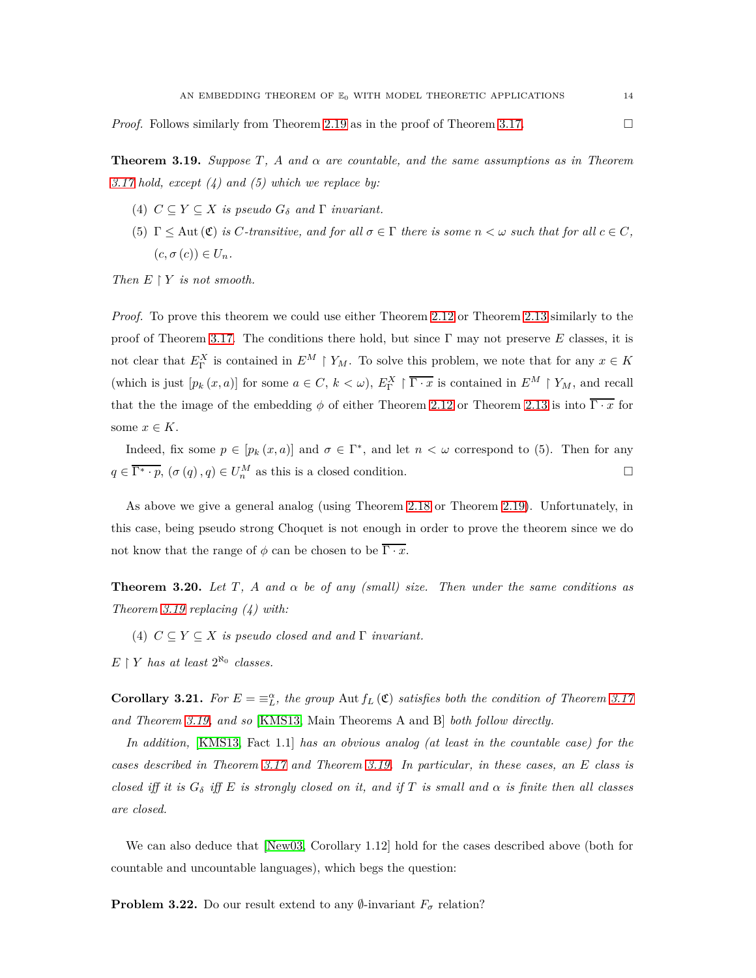*Proof.* Follows similarly from Theorem [2.19](#page-7-1) as in the proof of Theorem [3.17.](#page-12-0)

<span id="page-13-0"></span>**Theorem 3.19.** *Suppose*  $T$ ,  $A$  *and*  $\alpha$  *are countable, and the same assumptions as in Theorem [3.17](#page-12-0) hold, except (4) and (5) which we replace by:*

- (4)  $C \subseteq Y \subseteq X$  *is pseudo*  $G_{\delta}$  *and*  $\Gamma$  *invariant.*
- (5)  $\Gamma \leq$  Aut  $(\mathfrak{C})$  *is C-transitive, and for all*  $\sigma \in \Gamma$  *there is some*  $n < \omega$  *such that for all*  $c \in C$ *,*  $(c, \sigma(c)) \in U_n$ .

*Then*  $E \restriction Y$  *is not smooth.* 

*Proof.* To prove this theorem we could use either Theorem [2.12](#page-3-1) or Theorem [2.13](#page-4-0) similarly to the proof of Theorem [3.17.](#page-12-0) The conditions there hold, but since Γ may not preserve *E* classes, it is not clear that  $E_{\Gamma}^X$  is contained in  $E^M \upharpoonright Y_M$ . To solve this problem, we note that for any  $x \in K$ (which is just  $[p_k(x, a)]$  for some  $a \in C, k < \omega$ ),  $E_{\Gamma}^X \upharpoonright \overline{\Gamma \cdot x}$  is contained in  $E^M \upharpoonright Y_M$ , and recall that the the image of the embedding  $\phi$  of either Theorem [2.12](#page-3-1) or Theorem [2.13](#page-4-0) is into  $\overline{\Gamma \cdot x}$  for some  $x \in K$ .

Indeed, fix some  $p \in [p_k(x, a)]$  and  $\sigma \in \Gamma^*$ , and let  $n < \omega$  correspond to (5). Then for any  $q \in \overline{\Gamma^* \cdot p}$ ,  $(\sigma(q), q) \in U_n^M$  as this is a closed condition.

As above we give a general analog (using Theorem [2.18](#page-5-0) or Theorem [2.19\)](#page-7-1). Unfortunately, in this case, being pseudo strong Choquet is not enough in order to prove the theorem since we do not know that the range of  $\phi$  can be chosen to be  $\overline{\Gamma \cdot x}$ .

**Theorem 3.20.** Let T, A and  $\alpha$  be of any (small) size. Then under the same conditions as *Theorem [3.19](#page-13-0) replacing (4) with:*

(4)  $C \subseteq Y \subseteq X$  *is pseudo closed and and*  $\Gamma$  *invariant.* 

 $E \restriction Y$  *has at least*  $2^{\aleph_0}$  *classes.* 

**Corollary 3.21.** For  $E = \equiv_{L}^{\alpha}$ , the group Aut  $f_L(\mathfrak{C})$  satisfies both the condition of Theorem [3.17](#page-12-0) *and Theorem [3.19,](#page-13-0) and so* [\[KMS13,](#page-19-2) Main Theorems A and B] *both follow directly.*

*In addition,* [\[KMS13,](#page-19-2) Fact 1.1] *has an obvious analog (at least in the countable case) for the cases described in Theorem [3.17](#page-12-0) and Theorem [3.19.](#page-13-0) In particular, in these cases, an E class is closed iff it is*  $G_{\delta}$  *iff*  $E$  *is strongly closed on it, and if*  $T$  *is small and*  $\alpha$  *is finite then all classes are closed.*

We can also deduce that [\[New03,](#page-20-0) Corollary 1.12] hold for the cases described above (both for countable and uncountable languages), which begs the question:

**Problem 3.22.** Do our result extend to any  $\emptyset$ -invariant  $F_{\sigma}$  relation?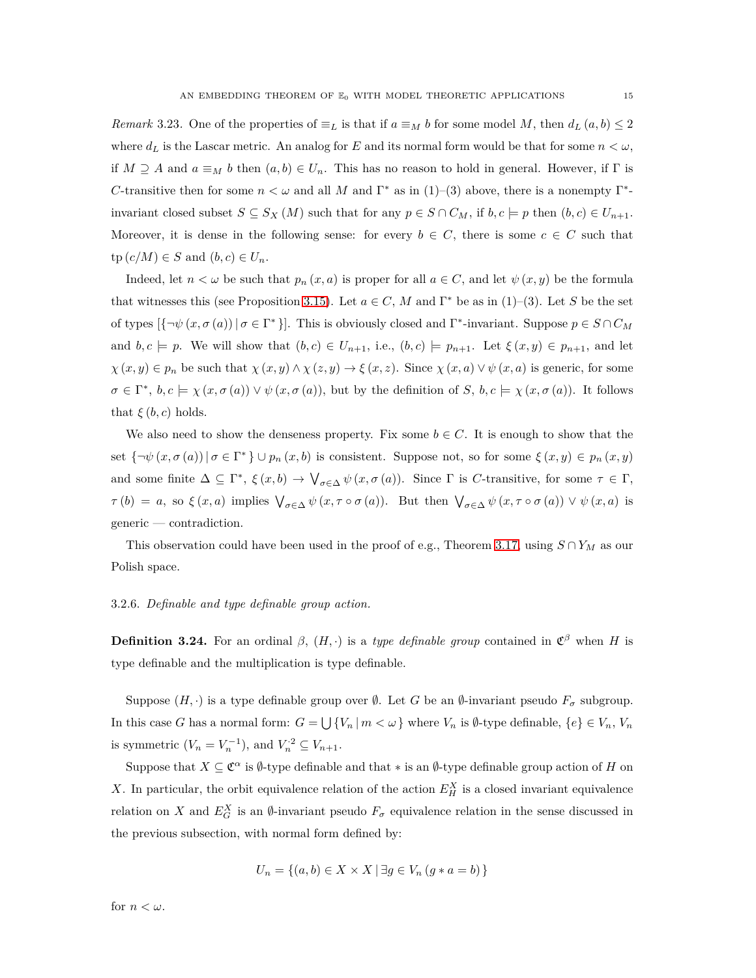*Remark* 3.23. One of the properties of  $\equiv_L$  is that if  $a \equiv_M b$  for some model *M*, then  $d_L(a, b) \leq 2$ where  $d_L$  is the Lascar metric. An analog for *E* and its normal form would be that for some  $n < \omega$ , if  $M \supseteq A$  and  $a \equiv_M b$  then  $(a, b) \in U_n$ . This has no reason to hold in general. However, if  $\Gamma$  is *C*-transitive then for some  $n < \omega$  and all *M* and  $\Gamma^*$  as in (1)–(3) above, there is a nonempty  $\Gamma^*$ invariant closed subset  $S \subseteq S_X(M)$  such that for any  $p \in S \cap C_M$ , if  $b, c \models p$  then  $(b, c) \in U_{n+1}$ . Moreover, it is dense in the following sense: for every  $b \in C$ , there is some  $c \in C$  such that  $tp(c/M) \in S$  and  $(b, c) \in U_n$ .

Indeed, let  $n < \omega$  be such that  $p_n(x, a)$  is proper for all  $a \in C$ , and let  $\psi(x, y)$  be the formula that witnesses this (see Proposition [3.15\)](#page-11-0). Let  $a \in C$ , M and  $\Gamma^*$  be as in (1)–(3). Let S be the set of types  $\{\neg \psi(x, \sigma(a)) \mid \sigma \in \Gamma^*\}$ . This is obviously closed and  $\Gamma^*$ -invariant. Suppose  $p \in S \cap C_M$ and  $b, c \models p$ . We will show that  $(b, c) \in U_{n+1}$ , i.e.,  $(b, c) \models p_{n+1}$ . Let  $\xi(x, y) \in p_{n+1}$ , and let  $\chi(x, y) \in p_n$  be such that  $\chi(x, y) \wedge \chi(z, y) \to \xi(x, z)$ . Since  $\chi(x, a) \vee \psi(x, a)$  is generic, for some  $\sigma \in \Gamma^*$ ,  $b, c \models \chi(x, \sigma(a)) \vee \psi(x, \sigma(a))$ , but by the definition of *S*,  $b, c \models \chi(x, \sigma(a))$ . It follows that  $\xi(b, c)$  holds.

We also need to show the denseness property. Fix some  $b \in C$ . It is enough to show that the set  $\{\neg \psi(x, \sigma(a)) \mid \sigma \in \Gamma^*\}\cup p_n(x, b)$  is consistent. Suppose not, so for some  $\xi(x, y) \in p_n(x, y)$ and some finite  $\Delta \subseteq \Gamma^*$ ,  $\xi(x, b) \to \bigvee_{\sigma \in \Delta} \psi(x, \sigma(a))$ . Since  $\Gamma$  is *C*-transitive, for some  $\tau \in \Gamma$ ,  $\tau(b) = a$ , so  $\xi(x, a)$  implies  $\bigvee_{\sigma \in \Delta} \psi(x, \tau \circ \sigma(a))$ . But then  $\bigvee_{\sigma \in \Delta} \psi(x, \tau \circ \sigma(a)) \vee \psi(x, a)$  is generic — contradiction.

This observation could have been used in the proof of e.g., Theorem [3.17,](#page-12-0) using  $S \cap Y_M$  as our Polish space.

# 3.2.6. *Definable and type definable group action.*

**Definition 3.24.** For an ordinal  $\beta$ ,  $(H, \cdot)$  is a *type definable group* contained in  $\mathfrak{C}^{\beta}$  when *H* is type definable and the multiplication is type definable.

Suppose  $(H, \cdot)$  is a type definable group over  $\emptyset$ . Let *G* be an  $\emptyset$ -invariant pseudo  $F_{\sigma}$  subgroup. In this case *G* has a normal form:  $G = \bigcup \{V_n | m < \omega\}$  where  $V_n$  is Ø-type definable,  $\{e\} \in V_n$ ,  $V_n$ is symmetric  $(V_n = V_n^{-1})$ , and  $V_n^2 \subseteq V_{n+1}$ .

Suppose that  $X \subseteq \mathfrak{C}^{\alpha}$  is  $\emptyset$ -type definable and that  $*$  is an  $\emptyset$ -type definable group action of *H* on X. In particular, the orbit equivalence relation of the action  $E_H^X$  is a closed invariant equivalence relation on *X* and  $E_G^X$  is an  $\emptyset$ -invariant pseudo  $F_{\sigma}$  equivalence relation in the sense discussed in the previous subsection, with normal form defined by:

$$
U_n = \{(a, b) \in X \times X \mid \exists g \in V_n (g * a = b)\}
$$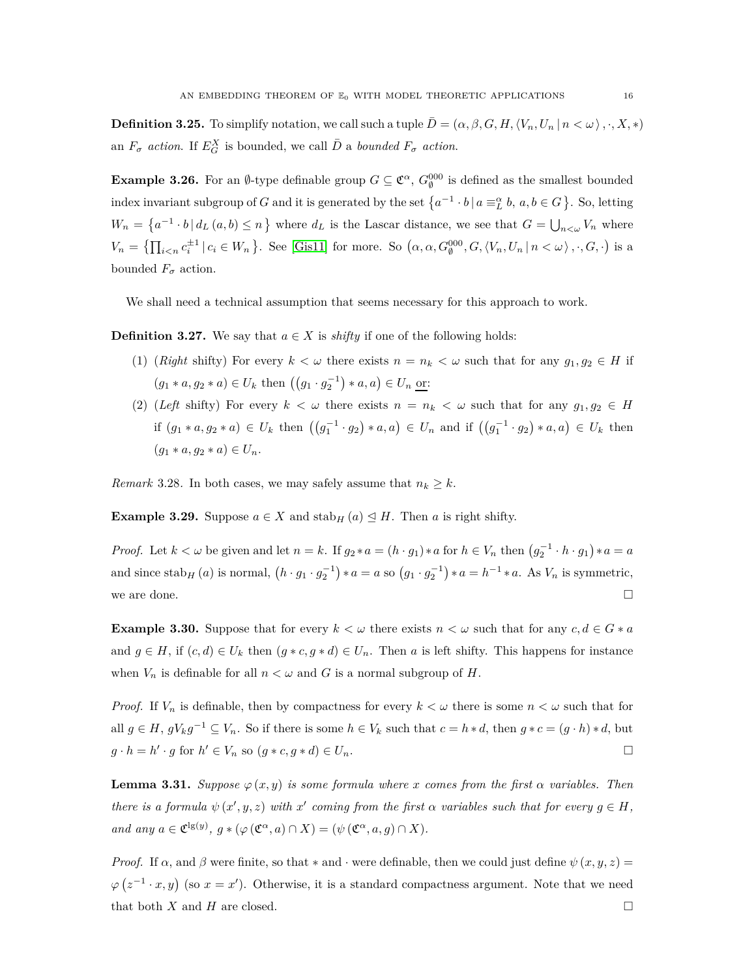**Definition 3.25.** To simplify notation, we call such a tuple  $\overline{D} = (\alpha, \beta, G, H, \langle V_n, U_n | n \langle \omega \rangle, \cdot, X, *)$ an  $F_{\sigma}$  *action*. If  $E_G^X$  is bounded, we call  $\overline{D}$  a *bounded*  $F_{\sigma}$  *action*.

**Example 3.26.** For an  $\emptyset$ -type definable group  $G \subseteq \mathbb{C}^{\alpha}$ ,  $G_{\emptyset}^{000}$  is defined as the smallest bounded index invariant subgroup of *G* and it is generated by the set  $\{a^{-1} \cdot b \mid a \equiv \alpha b, a, b \in G\}$ . So, letting  $W_n = \left\{ a^{-1} \cdot b \, | \, d_L(a, b) \leq n \right\}$  where  $d_L$  is the Lascar distance, we see that  $G = \bigcup_{n \leq \omega} V_n$  where  $V_n = \left\{ \prod_{i \leq n} c_i^{\pm 1} \middle| c_i \in W_n \right\}$ . See [\[Gis11\]](#page-19-1) for more. So  $(\alpha, \alpha, G_0^{000}, G, \langle V_n, U_n \middle| n < \omega \rangle, \cdot, G, \cdot)$  is a bounded  $F_{\sigma}$  action.

We shall need a technical assumption that seems necessary for this approach to work.

<span id="page-15-1"></span>**Definition 3.27.** We say that  $a \in X$  is *shifty* if one of the following holds:

- (1) (*Right* shifty) For every  $k < \omega$  there exists  $n = n_k < \omega$  such that for any  $g_1, g_2 \in H$  if  $(g_1 * a, g_2 * a) \in U_k$  then  $((g_1 \cdot g_2^{-1}) * a, a) \in U_n$  or:
- (2) (*Left* shifty) For every  $k < \omega$  there exists  $n = n_k < \omega$  such that for any  $g_1, g_2 \in H$  $if (g_1 * a, g_2 * a) ∈ U_k then ((g_1^{-1} · g_2) * a, a) ∈ U_n$  and if  $((g_1^{-1} · g_2) * a, a) ∈ U_k$  then  $(q_1 * a, q_2 * a) \in U_n$ .

*Remark* 3.28. In both cases, we may safely assume that  $n_k \geq k$ .

**Example 3.29.** Suppose  $a \in X$  and stab<sub>H</sub>  $(a) \leq H$ . Then *a* is right shifty.

*Proof.* Let  $k < \omega$  be given and let  $n = k$ . If  $g_2 * a = (h \cdot g_1) * a$  for  $h \in V_n$  then  $(g_2^{-1} \cdot h \cdot g_1) * a = a$ and since  $\operatorname{stab}_{H}(a)$  is normal,  $(h \cdot g_1 \cdot g_2^{-1}) * a = a$  so  $(g_1 \cdot g_2^{-1}) * a = h^{-1} * a$ . As  $V_n$  is symmetric, we are done.  $\Box$ 

**Example 3.30.** Suppose that for every  $k < \omega$  there exists  $n < \omega$  such that for any  $c, d \in G * a$ and  $g \in H$ , if  $(c, d) \in U_k$  then  $(g * c, g * d) \in U_n$ . Then *a* is left shifty. This happens for instance when  $V_n$  is definable for all  $n < \omega$  and G is a normal subgroup of H.

*Proof.* If  $V_n$  is definable, then by compactness for every  $k < \omega$  there is some  $n < \omega$  such that for all  $g \in H$ ,  $gV_kg^{-1} \subseteq V_n$ . So if there is some  $h \in V_k$  such that  $c = h * d$ , then  $g * c = (g \cdot h) * d$ , but  $g \cdot h = h' \cdot g$  for  $h' \in V_n$  so  $(g * c, g * d) \in U_n$ .

<span id="page-15-0"></span>**Lemma 3.31.** *Suppose*  $\varphi(x, y)$  *is some formula where x comes from the first*  $\alpha$  *variables. Then there is a formula*  $\psi(x', y, z)$  *with*  $x'$  *coming from the first*  $\alpha$  *variables such that for every*  $g \in H$ *, and any*  $a \in \mathfrak{C}^{\lg(y)}$ ,  $g * (\varphi(\mathfrak{C}^{\alpha}, a) \cap X) = (\psi(\mathfrak{C}^{\alpha}, a, g) \cap X)$ .

*Proof.* If  $\alpha$ , and  $\beta$  were finite, so that \* and · were definable, then we could just define  $\psi(x, y, z)$  $\varphi(z^{-1} \cdot x, y)$  (so  $x = x'$ ). Otherwise, it is a standard compactness argument. Note that we need that both *X* and *H* are closed.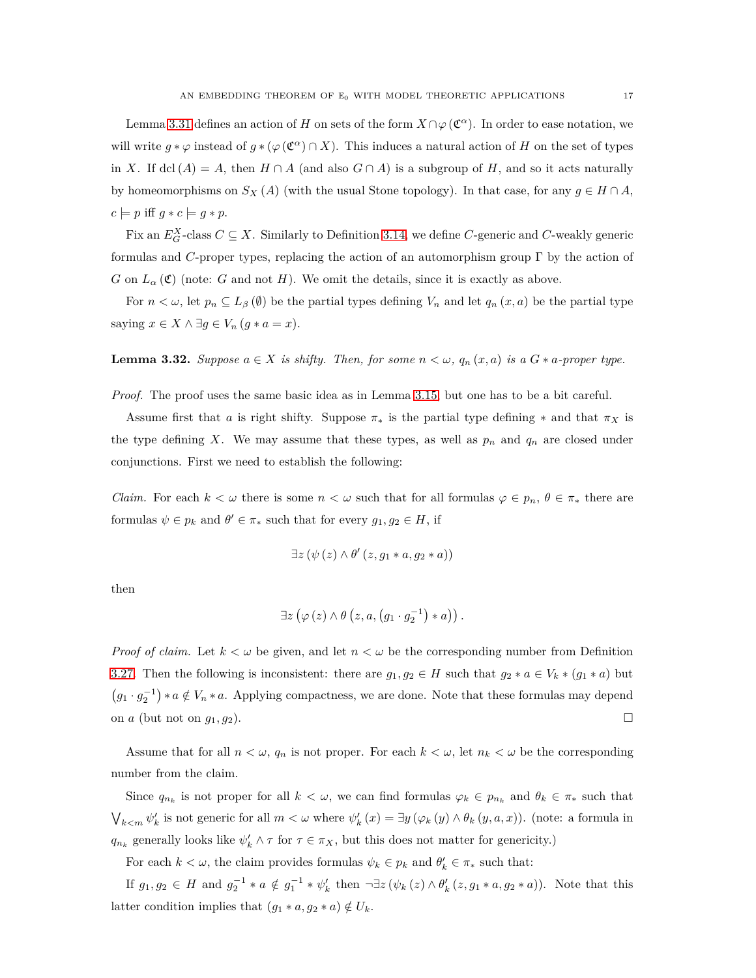Lemma [3.31](#page-15-0) defines an action of *H* on sets of the form  $X \cap \varphi(\mathfrak{C}^{\alpha})$ . In order to ease notation, we will write  $g * \varphi$  instead of  $g * (\varphi(\mathfrak{C}^{\alpha}) \cap X)$ . This induces a natural action of *H* on the set of types in *X*. If dcl  $(A) = A$ , then  $H \cap A$  (and also  $G \cap A$ ) is a subgroup of  $H$ , and so it acts naturally by homeomorphisms on  $S_X(A)$  (with the usual Stone topology). In that case, for any  $g \in H \cap A$ ,  $c \models p$  iff  $g * c \models g * p$ .

Fix an  $E_G^X$ -class  $C \subseteq X$ . Similarly to Definition 3.14, we define  $C$ -generic and  $C$ -weakly generic formulas and *C*-proper types, replacing the action of an automorphism group  $\Gamma$  by the action of *G* on  $L_{\alpha}(\mathfrak{C})$  (note: *G* and not *H*). We omit the details, since it is exactly as above.

For  $n < \omega$ , let  $p_n \subseteq L_\beta(\emptyset)$  be the partial types defining  $V_n$  and let  $q_n(x, a)$  be the partial type saying  $x \in X \land \exists g \in V_n$   $(g * a = x)$ .

<span id="page-16-0"></span>**Lemma 3.32.** *Suppose*  $a \in X$  *is shifty. Then, for some*  $n < \omega$ *,*  $q_n(x, a)$  *is a*  $G * a$ -proper type.

*Proof.* The proof uses the same basic idea as in Lemma [3.15,](#page-11-0) but one has to be a bit careful.

Assume first that *a* is right shifty. Suppose  $\pi_*$  is the partial type defining  $*$  and that  $\pi_X$  is the type defining X. We may assume that these types, as well as  $p_n$  and  $q_n$  are closed under conjunctions. First we need to establish the following:

*Claim.* For each  $k < \omega$  there is some  $n < \omega$  such that for all formulas  $\varphi \in p_n$ ,  $\theta \in \pi_*$  there are formulas  $\psi \in p_k$  and  $\theta' \in \pi_*$  such that for every  $g_1, g_2 \in H$ , if

$$
\exists z (\psi(z) \land \theta'(z, g_1 * a, g_2 * a))
$$

then

$$
\exists z \left( \varphi(z) \wedge \theta(z, a, (g_1 \cdot g_2^{-1}) * a) \right).
$$

*Proof of claim.* Let  $k < \omega$  be given, and let  $n < \omega$  be the corresponding number from Definition [3.27.](#page-15-1) Then the following is inconsistent: there are  $g_1, g_2 \in H$  such that  $g_2 * a \in V_k * (g_1 * a)$  but  $(g_1 \cdot g_2^{-1}) * a \notin V_n * a$ . Applying compactness, we are done. Note that these formulas may depend on *a* (but not on  $g_1, g_2$ ).

Assume that for all  $n < \omega$ ,  $q_n$  is not proper. For each  $k < \omega$ , let  $n_k < \omega$  be the corresponding number from the claim.

Since  $q_{n_k}$  is not proper for all  $k < \omega$ , we can find formulas  $\varphi_k \in p_{n_k}$  and  $\theta_k \in \pi_*$  such that  $\bigvee_{k \leq m} \psi'_k$  is not generic for all  $m < \omega$  where  $\psi'_k(x) = \exists y (\varphi_k(y) \wedge \theta_k(y, a, x))$ . (note: a formula in *q*<sub>*nk*</sub> generally looks like  $\psi'_k \wedge \tau$  for  $\tau \in \pi_X$ , but this does not matter for genericity.)

For each  $k < \omega$ , the claim provides formulas  $\psi_k \in p_k$  and  $\theta'_k \in \pi_*$  such that:

If  $g_1, g_2 \in H$  and  $g_2^{-1} * a \notin g_1^{-1} * \psi'_k$  then  $\neg \exists z (\psi_k(z) \land \theta'_k(z, g_1 * a, g_2 * a))$ . Note that this latter condition implies that  $(g_1 * a, g_2 * a) \notin U_k$ .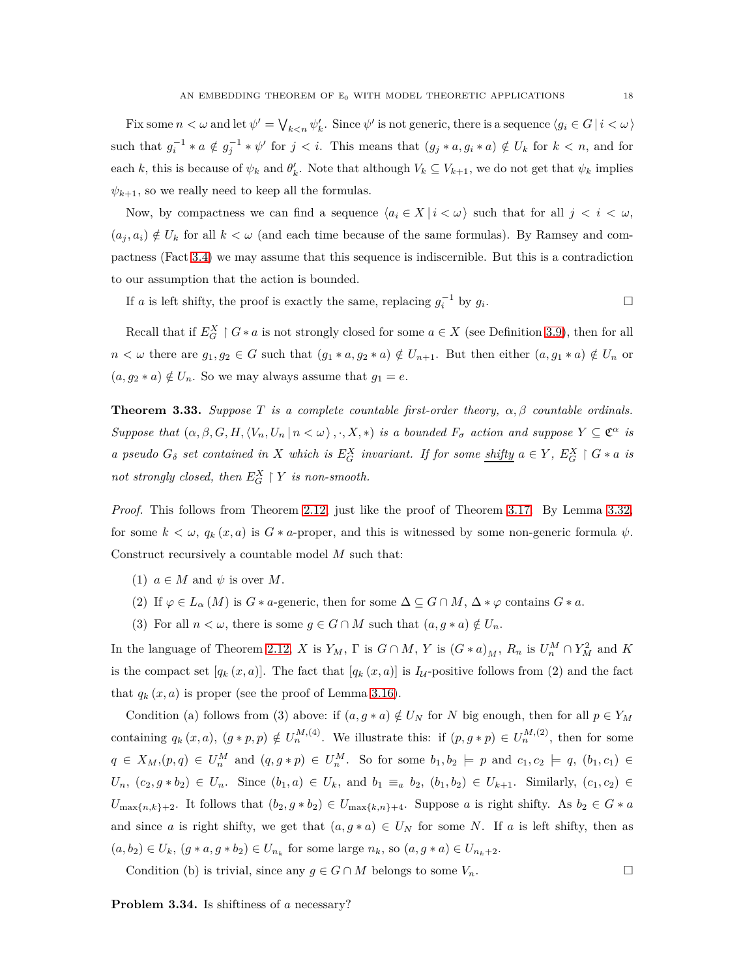Fix some  $n < \omega$  and let  $\psi' = \bigvee_{k \leq n} \psi'_k$ . Since  $\psi'$  is not generic, there is a sequence  $\langle g_i \in G | i < \omega \rangle$ such that  $g_i^{-1} * a \notin g_j^{-1} * \psi'$  for  $j < i$ . This means that  $(g_j * a, g_i * a) \notin U_k$  for  $k < n$ , and for each *k*, this is because of  $\psi_k$  and  $\theta'_k$ . Note that although  $V_k \subseteq V_{k+1}$ , we do not get that  $\psi_k$  implies  $\psi_{k+1}$ , so we really need to keep all the formulas.

Now, by compactness we can find a sequence  $\langle a_i \in X \mid i \langle \omega \rangle$  such that for all  $j \langle i \langle \omega \rangle$  $(a_j, a_i) \notin U_k$  for all  $k < \omega$  (and each time because of the same formulas). By Ramsey and compactness (Fact [3.4\)](#page-8-0) we may assume that this sequence is indiscernible. But this is a contradiction to our assumption that the action is bounded.

If *a* is left shifty, the proof is exactly the same, replacing  $g_i^{-1}$  by  $g_i$ . — Первый процесс в после производите в собстании и производите в собстании и производите в собстании и произ<br>В собстании и производите в собстании и производите в собстании и производите в собстании и производите в собс

Recall that if  $E_G^X \upharpoonright G * a$  is not strongly closed for some  $a \in X$  (see Definition [3.9\)](#page-9-2), then for all  $n < \omega$  there are  $g_1, g_2 \in G$  such that  $(g_1 * a, g_2 * a) \notin U_{n+1}$ . But then either  $(a, g_1 * a) \notin U_n$  or  $(a, g_2 * a) \notin U_n$ . So we may always assume that  $g_1 = e$ .

<span id="page-17-0"></span>**Theorem 3.33.** *Suppose*  $T$  *is a complete countable first-order theory,*  $\alpha, \beta$  *countable ordinals. Suppose that*  $(\alpha, \beta, G, H, \langle V_n, U_n | n \langle \omega \rangle, \cdot, X, *)$  *is a bounded*  $F_\sigma$  *action and suppose*  $Y \subseteq \mathfrak{C}^\alpha$  *is* a pseudo  $G_{\delta}$  set contained in X which is  $E_{G}^{X}$  invariant. If for some shifty  $a \in Y$ ,  $E_{G}^{X} \restriction G * a$  is *not strongly closed, then*  $E_G^X \restriction Y$  *is non-smooth.* 

*Proof.* This follows from Theorem [2.12,](#page-3-1) just like the proof of Theorem [3.17.](#page-12-0) By Lemma [3.32,](#page-16-0) for some  $k < \omega$ ,  $q_k(x, a)$  is  $G * a$ -proper, and this is witnessed by some non-generic formula  $\psi$ . Construct recursively a countable model *M* such that:

- (1)  $a \in M$  and  $\psi$  is over M.
- (2) If  $\varphi \in L_{\alpha}(M)$  is  $G * a$ -generic, then for some  $\Delta \subseteq G \cap M$ ,  $\Delta * \varphi$  contains  $G * a$ .
- (3) For all  $n < \omega$ , there is some  $g \in G \cap M$  such that  $(a, g * a) \notin U_n$ .

In the language of Theorem [2.12,](#page-3-1) *X* is  $Y_M$ ,  $\Gamma$  is  $G \cap M$ ,  $Y$  is  $(G * a)_M$ ,  $R_n$  is  $U_n^M \cap Y_M^2$  and  $K$ is the compact set  $[q_k(x, a)]$ . The fact that  $[q_k(x, a)]$  is  $I_{\mathcal{U}}$ -positive follows from (2) and the fact that  $q_k(x, a)$  is proper (see the proof of Lemma [3.16\)](#page-11-1).

Condition (a) follows from (3) above: if  $(a, g * a) \notin U_N$  for *N* big enough, then for all  $p \in Y_M$ containing  $q_k(x, a)$ ,  $(g * p, p) \notin U_n^{M,(4)}$ . We illustrate this: if  $(p, g * p) \in U_n^{M,(2)}$ , then for some  $q \in X_M, (p,q) \in U_m^M$  and  $(q, g * p) \in U_m^M$ . So for some  $b_1, b_2 \models p$  and  $c_1, c_2 \models q$ ,  $(b_1, c_1) \in$  $U_n, (c_2, g * b_2) \in U_n$ . Since  $(b_1, a) \in U_k$ , and  $b_1 \equiv_a b_2, (b_1, b_2) \in U_{k+1}$ . Similarly,  $(c_1, c_2) \in$  $U_{\max\{n,k\}+2}$ . It follows that  $(b_2, g * b_2) \in U_{\max\{k,n\}+4}$ . Suppose *a* is right shifty. As  $b_2 \in G * a$ and since *a* is right shifty, we get that  $(a, g * a) \in U_N$  for some *N*. If *a* is left shifty, then as  $(a, b_2) \in U_k$ ,  $(g * a, g * b_2) \in U_{n_k}$  for some large  $n_k$ , so  $(a, g * a) \in U_{n_k+2}$ .

Condition (b) is trivial, since any  $q \in G \cap M$  belongs to some  $V_n$ .

**Problem 3.34.** Is shiftiness of *a* necessary?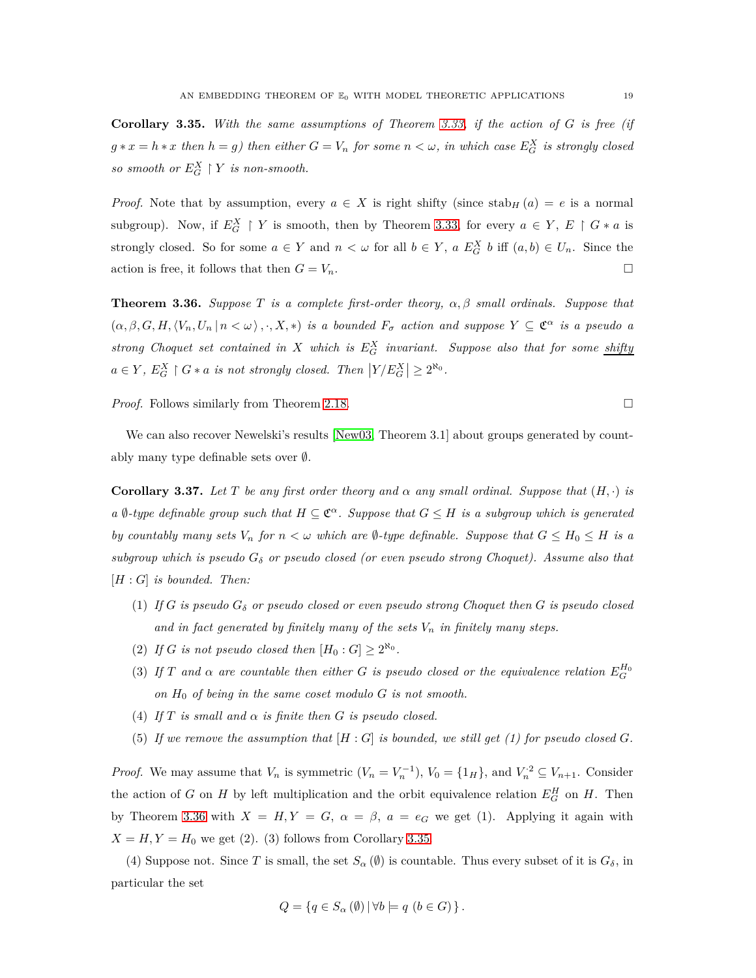<span id="page-18-1"></span>**Corollary 3.35.** *With the same assumptions of Theorem [3.33,](#page-17-0) if the action of G is free (if*  $g * x = h * x$  *then*  $h = g$ *) then either*  $G = V_n$  *for some*  $n < \omega$ *, in which case*  $E_G^X$  *is strongly closed so smooth or*  $E_G^X \restriction Y$  *is non-smooth.* 

*Proof.* Note that by assumption, every  $a \in X$  is right shifty (since stab<sub>H</sub> (*a*) = *e* is a normal subgroup). Now, if  $E_G^X \restriction Y$  is smooth, then by Theorem [3.33,](#page-17-0) for every  $a \in Y, E \restriction G * a$  is strongly closed. So for some  $a \in Y$  and  $n < \omega$  for all  $b \in Y$ ,  $a E_G^X b$  iff  $(a, b) \in U_n$ . Since the action is free, it follows that then  $G = V_n$ .

<span id="page-18-0"></span>**Theorem 3.36.** *Suppose T is a complete first-order theory, α, β small ordinals. Suppose that*  $(\alpha, \beta, G, H, \langle V_n, U_n | n \langle \omega \rangle, \cdot, X, *)$  *is a bounded*  $F_\sigma$  *action and suppose*  $Y \subseteq \mathfrak{C}^\alpha$  *is a pseudo a strong Choquet set contained in X which is E<sup>X</sup> <sup>G</sup> invariant. Suppose also that for some shifty*  $a \in Y$ ,  $E_G^X \upharpoonright G * a$  *is not strongly closed. Then*  $|Y/E_G^X| \geq 2^{\aleph_0}$ .

*Proof.* Follows similarly from Theorem [2.18.](#page-5-0) □

We can also recover Newelski's results [\[New03,](#page-20-0) Theorem 3.1] about groups generated by countably many type definable sets over ∅.

<span id="page-18-2"></span>**Corollary 3.37.** Let T be any first order theory and  $\alpha$  any small ordinal. Suppose that  $(H, \cdot)$  is *a*  $\emptyset$ -type definable group such that  $H \subseteq \mathfrak{C}^{\alpha}$ . Suppose that  $G \leq H$  is a subgroup which is generated *by countably many sets*  $V_n$  *for*  $n < \omega$  *which are*  $\emptyset$ *-type definable. Suppose that*  $G \leq H_0 \leq H$  *is a subgroup which is pseudo G<sup>δ</sup> or pseudo closed (or even pseudo strong Choquet). Assume also that* [*H* : *G*] *is bounded. Then:*

- (1) If  $G$  is pseudo  $G_{\delta}$  or pseudo closed or even pseudo strong Choquet then  $G$  is pseudo closed and in fact generated by finitely many of the sets  $V_n$  in finitely many steps.
- (2) If *G* is not pseudo closed then  $[H_0: G] \geq 2^{\aleph_0}$ .
- (3) If *T* and  $\alpha$  are countable then either *G* is pseudo closed or the equivalence relation  $E_G^{H_0}$ *on*  $H_0$  *of being in the same coset modulo*  $G$  *is not smooth.*
- (4) *If*  $T$  *is small and*  $\alpha$  *is finite then*  $G$  *is pseudo closed.*
- (5) If we remove the assumption that  $[H: G]$  is bounded, we still get (1) for pseudo closed  $G$ .

*Proof.* We may assume that  $V_n$  is symmetric  $(V_n = V_n^{-1})$ ,  $V_0 = \{1_H\}$ , and  $V_n^2 \subseteq V_{n+1}$ . Consider the action of *G* on *H* by left multiplication and the orbit equivalence relation  $E_G^H$  on *H*. Then by Theorem [3.36](#page-18-0) with  $X = H, Y = G, \ \alpha = \beta, \ a = e_G$  we get (1). Applying it again with  $X = H, Y = H_0$  we get (2). (3) follows from Corollary [3.35.](#page-18-1)

(4) Suppose not. Since *T* is small, the set  $S_\alpha(\emptyset)$  is countable. Thus every subset of it is  $G_\delta$ , in particular the set

$$
Q = \{ q \in S_{\alpha} (\emptyset) \, | \, \forall b \models q \ (b \in G) \}.
$$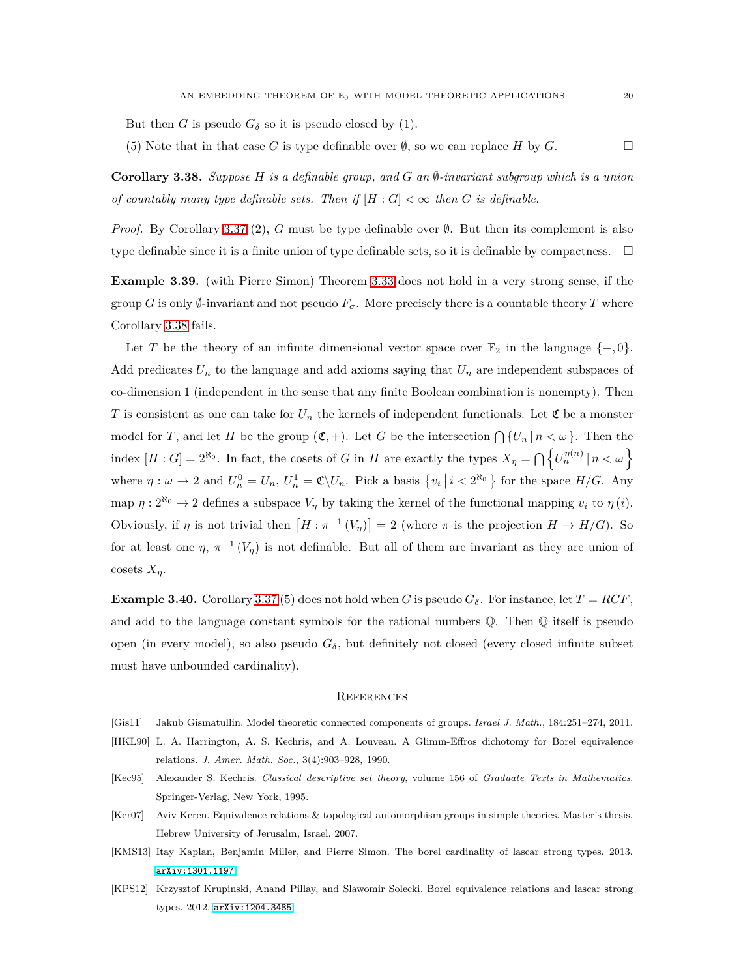But then *G* is pseudo  $G_{\delta}$  so it is pseudo closed by (1).

(5) Note that in that case *G* is type definable over  $\emptyset$ , so we can replace *H* by *G*.

<span id="page-19-6"></span>**Corollary 3.38.** *Suppose*  $H$  *is a definable group, and*  $G$  *an*  $\emptyset$ *-invariant subgroup which is a union of countably many type definable sets. Then if*  $|H: G| < \infty$  *then G is definable.* 

*Proof.* By Corollary [3.37](#page-18-2) (2), *G* must be type definable over ∅. But then its complement is also type definable since it is a finite union of type definable sets, so it is definable by compactness.  $\Box$ 

**Example 3.39.** (with Pierre Simon) Theorem [3.33](#page-17-0) does not hold in a very strong sense, if the group *G* is only  $\emptyset$ -invariant and not pseudo  $F_{\sigma}$ . More precisely there is a countable theory *T* where Corollary [3.38](#page-19-6) fails.

Let T be the theory of an infinite dimensional vector space over  $\mathbb{F}_2$  in the language  $\{+, 0\}$ . Add predicates *U<sup>n</sup>* to the language and add axioms saying that *U<sup>n</sup>* are independent subspaces of co-dimension 1 (independent in the sense that any finite Boolean combination is nonempty). Then *T* is consistent as one can take for  $U_n$  the kernels of independent functionals. Let  $\mathfrak C$  be a monster model for *T*, and let *H* be the group  $(\mathfrak{C}, +)$ . Let *G* be the intersection  $\bigcap \{U_n | n < \omega\}$ . Then the index  $[H:G] = 2^{\aleph_0}$ . In fact, the cosets of *G* in *H* are exactly the types  $X_\eta = \bigcap \{U_n^{\eta(n)} | n < \omega\}$ where  $\eta : \omega \to 2$  and  $U_n^0 = U_n$ ,  $U_n^1 = \mathfrak{C} \setminus U_n$ . Pick a basis  $\{v_i \mid i < 2^{\aleph_0}\}\)$  for the space  $H/G$ . Any map  $\eta: 2^{\aleph_0} \to 2$  defines a subspace  $V_n$  by taking the kernel of the functional mapping  $v_i$  to  $\eta(i)$ . Obviously, if *η* is not trivial then  $[H : \pi^{-1}(V_{\eta})] = 2$  (where  $\pi$  is the projection  $H \to H/G$ ). So for at least one  $\eta$ ,  $\pi^{-1}(V_{\eta})$  is not definable. But all of them are invariant as they are union of cosets *Xη*.

**Example 3.40.** Corollary [3.37](#page-18-2) (5) does not hold when *G* is pseudo  $G_{\delta}$ . For instance, let  $T = RCF$ , and add to the language constant symbols for the rational numbers  $\mathbb Q$ . Then  $\mathbb Q$  itself is pseudo open (in every model), so also pseudo  $G_{\delta}$ , but definitely not closed (every closed infinite subset must have unbounded cardinality).

#### **REFERENCES**

- <span id="page-19-1"></span>[Gis11] Jakub Gismatullin. Model theoretic connected components of groups. *Israel J. Math.*, 184:251–274, 2011.
- <span id="page-19-3"></span>[HKL90] L. A. Harrington, A. S. Kechris, and A. Louveau. A Glimm-Effros dichotomy for Borel equivalence relations. *J. Amer. Math. Soc.*, 3(4):903–928, 1990.
- <span id="page-19-5"></span>[Kec95] Alexander S. Kechris. *Classical descriptive set theory*, volume 156 of *Graduate Texts in Mathematics*. Springer-Verlag, New York, 1995.
- <span id="page-19-4"></span>[Ker07] Aviv Keren. Equivalence relations & topological automorphism groups in simple theories. Master's thesis, Hebrew University of Jerusalm, Israel, 2007.
- <span id="page-19-2"></span>[KMS13] Itay Kaplan, Benjamin Miller, and Pierre Simon. The borel cardinality of lascar strong types. 2013. <arXiv:1301.1197>.
- <span id="page-19-0"></span>[KPS12] Krzysztof Krupinski, Anand Pillay, and Slawomir Solecki. Borel equivalence relations and lascar strong types. 2012. <arXiv:1204.3485>.